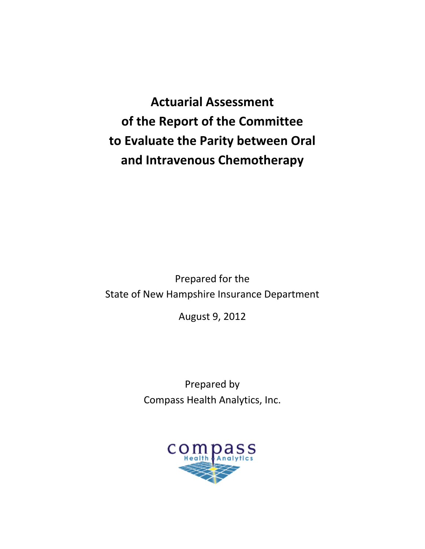**Actuarial Assessment of the Report of the Committee to Evaluate the Parity between Oral and Intravenous Chemotherapy**

Prepared for the State of New Hampshire Insurance Department

August 9, 2012

Prepared by Compass Health Analytics, Inc.

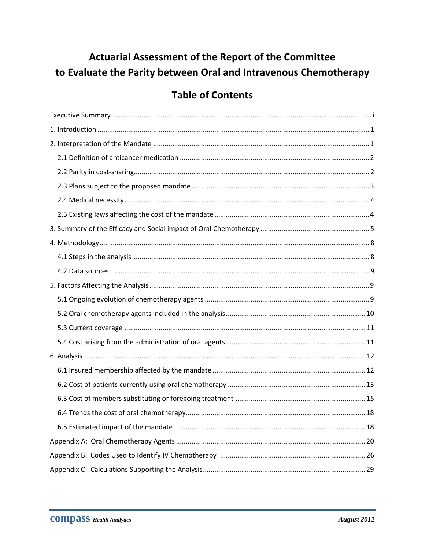# Actuarial Assessment of the Report of the Committee to Evaluate the Parity between Oral and Intravenous Chemotherapy

# **Table of Contents**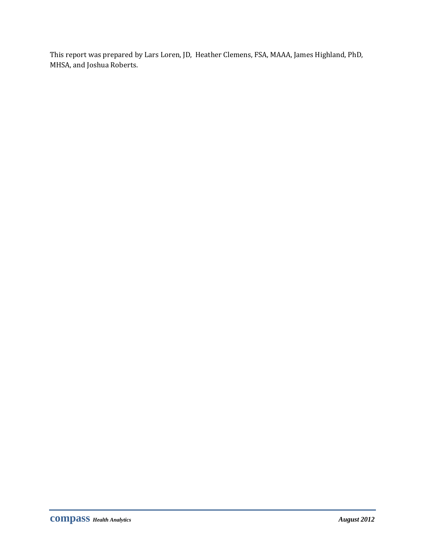This report was prepared by Lars Loren, JD, Heather Clemens, FSA, MAAA, James Highland, PhD, MHSA, and Joshua Roberts.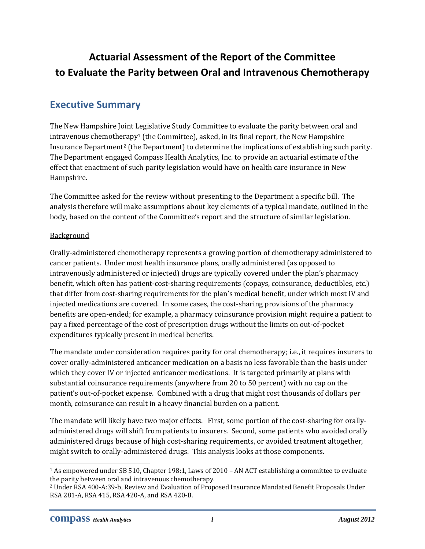# **Actuarial Assessment of the Report of the Committee to Evaluate the Parity between Oral and Intravenous Chemotherapy**

## **Executive Summary**

The New Hampshire Joint Legislative Study Committee to evaluate the parity between oral and intravenous chemotherapy<sup>1</sup> (the Committee), asked, in its final report, the New Hampshire Insurance Department2 (the Department) to determine the implications of establishing such parity. The Department engaged Compass Health Analytics, Inc. to provide an actuarial estimate of the effect that enactment of such parity legislation would have on health care insurance in New Hampshire.

The Committee asked for the review without presenting to the Department a specific bill. The analysis therefore will make assumptions about key elements of a typical mandate, outlined in the body, based on the content of the Committee's report and the structure of similar legislation.

#### **Background**

Orally‐administered chemotherapy represents a growing portion of chemotherapy administered to cancer patients. Under most health insurance plans, orally administered (as opposed to intravenously administered or injected) drugs are typically covered under the plan's pharmacy benefit, which often has patient‐cost‐sharing requirements (copays, coinsurance, deductibles, etc.) that differ from cost‐sharing requirements for the plan's medical benefit, under which most IV and injected medications are covered. In some cases, the cost-sharing provisions of the pharmacy benefits are open‐ended; for example, a pharmacy coinsurance provision might require a patient to pay a fixed percentage of the cost of prescription drugs without the limits on out‐of‐pocket expenditures typically present in medical benefits.

The mandate under consideration requires parity for oral chemotherapy; i.e., it requires insurers to cover orally‐administered anticancer medication on a basis no less favorable than the basis under which they cover IV or injected anticancer medications. It is targeted primarily at plans with substantial coinsurance requirements (anywhere from 20 to 50 percent) with no cap on the patient's out‐of‐pocket expense. Combined with a drug that might cost thousands of dollars per month, coinsurance can result in a heavy financial burden on a patient.

The mandate will likely have two major effects. First, some portion of the cost-sharing for orallyadministered drugs will shift from patients to insurers. Second, some patients who avoided orally administered drugs because of high cost‐sharing requirements, or avoided treatment altogether, might switch to orally‐administered drugs. This analysis looks at those components.

<sup>&</sup>lt;sup>1</sup> As empowered under SB 510, Chapter 198:1, Laws of 2010 – AN ACT establishing a committee to evaluate the parity between oral and intravenous chemotherapy.

<sup>2</sup> Under RSA 400‐A:39‐b, Review and Evaluation of Proposed Insurance Mandated Benefit Proposals Under RSA 281‐A, RSA 415, RSA 420‐A, and RSA 420‐B.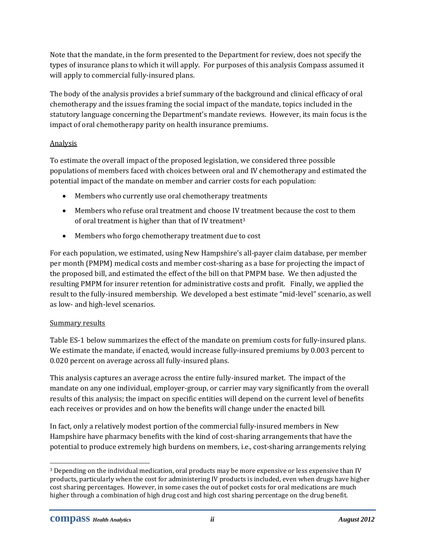Note that the mandate, in the form presented to the Department for review, does not specify the types of insurance plans to which it will apply. For purposes of this analysis Compass assumed it will apply to commercial fully-insured plans.

The body of the analysis provides a brief summary of the background and clinical efficacy of oral chemotherapy and the issues framing the social impact of the mandate, topics included in the statutory language concerning the Department's mandate reviews. However, its main focus is the impact of oral chemotherapy parity on health insurance premiums.

## Analysis

To estimate the overall impact of the proposed legislation, we considered three possible populations of members faced with choices between oral and IV chemotherapy and estimated the potential impact of the mandate on member and carrier costs for each population:

- Members who currently use oral chemotherapy treatments
- Members who refuse oral treatment and choose IV treatment because the cost to them of oral treatment is higher than that of IV treatment3
- Members who forgo chemotherapy treatment due to cost

For each population, we estimated, using New Hampshire's all-payer claim database, per member per month (PMPM) medical costs and member cost‐sharing as a base for projecting the impact of the proposed bill, and estimated the effect of the bill on that PMPM base. We then adjusted the resulting PMPM for insurer retention for administrative costs and profit. Finally, we applied the result to the fully‐insured membership. We developed a best estimate "mid‐level" scenario, as well as low‐ and high‐level scenarios.

#### Summary results

Table ES-1 below summarizes the effect of the mandate on premium costs for fully-insured plans. We estimate the mandate, if enacted, would increase fully-insured premiums by 0.003 percent to 0.020 percent on average across all fully‐insured plans.

This analysis captures an average across the entire fully‐insured market. The impact of the mandate on any one individual, employer‐group, or carrier may vary significantly from the overall results of this analysis; the impact on specific entities will depend on the current level of benefits each receives or provides and on how the benefits will change under the enacted bill.

In fact, only a relatively modest portion of the commercial fully‐insured members in New Hampshire have pharmacy benefits with the kind of cost‐sharing arrangements that have the potential to produce extremely high burdens on members, i.e., cost‐sharing arrangements relying

 3 Depending on the individual medication, oral products may be more expensive or less expensive than IV products, particularly when the cost for administering IV products is included, even when drugs have higher cost sharing percentages. However, in some cases the out of pocket costs for oral medications are much higher through a combination of high drug cost and high cost sharing percentage on the drug benefit.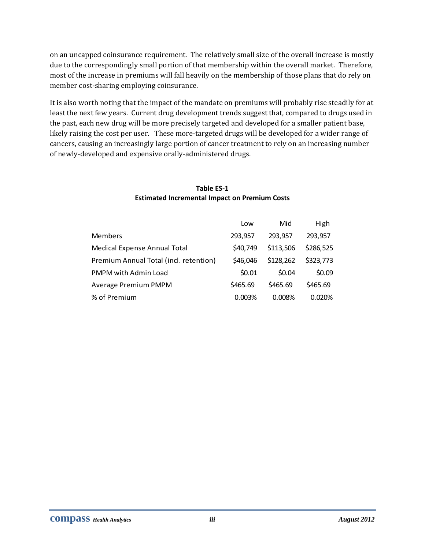on an uncapped coinsurance requirement. The relatively small size of the overall increase is mostly due to the correspondingly small portion of that membership within the overall market. Therefore, most of the increase in premiums will fall heavily on the membership of those plans that do rely on member cost-sharing employing coinsurance.

It is also worth noting that the impact of the mandate on premiums will probably rise steadily for at least the next few years. Current drug development trends suggest that, compared to drugs used in the past, each new drug will be more precisely targeted and developed for a smaller patient base, likely raising the cost per user. These more-targeted drugs will be developed for a wider range of cancers, causing an increasingly large portion of cancer treatment to rely on an increasing number of newly‐developed and expensive orally‐administered drugs.

#### **Table ES‐1 Estimated Incremental Impact on Premium Costs**

|                                        | Low      | Mid       | High      |
|----------------------------------------|----------|-----------|-----------|
| Members                                | 293,957  | 293,957   | 293,957   |
| Medical Expense Annual Total           | \$40,749 | \$113,506 | \$286,525 |
| Premium Annual Total (incl. retention) | \$46,046 | \$128,262 | \$323,773 |
| PMPM with Admin Load                   | \$0.01   | \$0.04    | \$0.09    |
| Average Premium PMPM                   | \$465.69 | \$465.69  | \$465.69  |
| % of Premium                           | 0.003%   | 0.008%    | 0.020%    |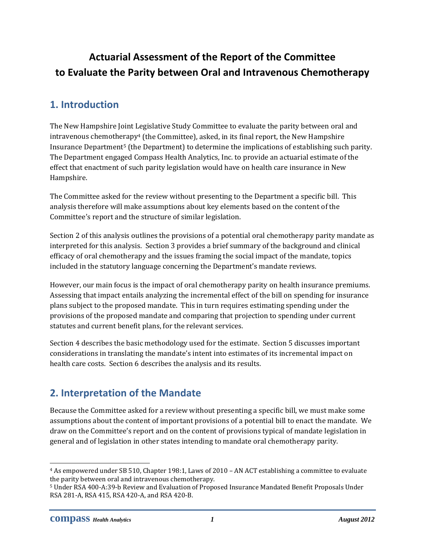# **Actuarial Assessment of the Report of the Committee to Evaluate the Parity between Oral and Intravenous Chemotherapy**

## **1. Introduction**

The New Hampshire Joint Legislative Study Committee to evaluate the parity between oral and intravenous chemotherapy4 (the Committee), asked, in its final report, the New Hampshire Insurance Department5 (the Department) to determine the implications of establishing such parity. The Department engaged Compass Health Analytics, Inc. to provide an actuarial estimate of the effect that enactment of such parity legislation would have on health care insurance in New Hampshire.

The Committee asked for the review without presenting to the Department a specific bill. This analysis therefore will make assumptions about key elements based on the content of the Committee's report and the structure of similar legislation.

Section 2 of this analysis outlines the provisions of a potential oral chemotherapy parity mandate as interpreted for this analysis. Section 3 provides a brief summary of the background and clinical efficacy of oral chemotherapy and the issues framing the social impact of the mandate, topics included in the statutory language concerning the Department's mandate reviews.

However, our main focus is the impact of oral chemotherapy parity on health insurance premiums. Assessing that impact entails analyzing the incremental effect of the bill on spending for insurance plans subject to the proposed mandate. This in turn requires estimating spending under the provisions of the proposed mandate and comparing that projection to spending under current statutes and current benefit plans, for the relevant services.

Section 4 describes the basic methodology used for the estimate. Section 5 discusses important considerations in translating the mandate's intent into estimates of its incremental impact on health care costs. Section 6 describes the analysis and its results.

## **2. Interpretation of the Mandate**

Because the Committee asked for a review without presenting a specific bill, we must make some assumptions about the content of important provisions of a potential bill to enact the mandate. We draw on the Committee's report and on the content of provisions typical of mandate legislation in general and of legislation in other states intending to mandate oral chemotherapy parity.

<sup>4</sup> As empowered under SB 510, Chapter 198:1, Laws of 2010 – AN ACT establishing a committee to evaluate the parity between oral and intravenous chemotherapy.

<sup>5</sup> Under RSA 400‐A:39‐b Review and Evaluation of Proposed Insurance Mandated Benefit Proposals Under RSA 281‐A, RSA 415, RSA 420‐A, and RSA 420‐B.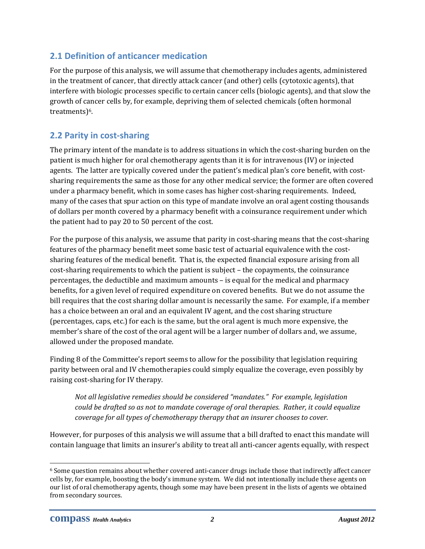## **2.1 Definition of anticancer medication**

For the purpose of this analysis, we will assume that chemotherapy includes agents, administered in the treatment of cancer, that directly attack cancer (and other) cells (cytotoxic agents), that interfere with biologic processes specific to certain cancer cells (biologic agents), and that slow the growth of cancer cells by, for example, depriving them of selected chemicals (often hormonal treatments)<sup>6</sup>.

## **2.2 Parity in cost‐sharing**

The primary intent of the mandate is to address situations in which the cost-sharing burden on the patient is much higher for oral chemotherapy agents than it is for intravenous (IV) or injected agents. The latter are typically covered under the patient's medical plan's core benefit, with costsharing requirements the same as those for any other medical service; the former are often covered under a pharmacy benefit, which in some cases has higher cost-sharing requirements. Indeed, many of the cases that spur action on this type of mandate involve an oral agent costing thousands of dollars per month covered by a pharmacy benefit with a coinsurance requirement under which the patient had to pay 20 to 50 percent of the cost.

For the purpose of this analysis, we assume that parity in cost-sharing means that the cost-sharing features of the pharmacy benefit meet some basic test of actuarial equivalence with the costsharing features of the medical benefit. That is, the expected financial exposure arising from all cost-sharing requirements to which the patient is subject – the copayments, the coinsurance percentages, the deductible and maximum amounts – is equal for the medical and pharmacy benefits, for a given level of required expenditure on covered benefits. But we do not assume the bill requires that the cost sharing dollar amount is necessarily the same. For example, if a member has a choice between an oral and an equivalent IV agent, and the cost sharing structure (percentages, caps, etc.) for each is the same, but the oral agent is much more expensive, the member's share of the cost of the oral agent will be a larger number of dollars and, we assume, allowed under the proposed mandate.

Finding 8 of the Committee's report seems to allow for the possibility that legislation requiring parity between oral and IV chemotherapies could simply equalize the coverage, even possibly by raising cost‐sharing for IV therapy.

*Not all legislative remedies should be considered "mandates." For example, legislation could be drafted so as not to mandate coverage of oral therapies. Rather, it could equalize coverage for all types of chemotherapy therapy that an insurer chooses to cover.*

However, for purposes of this analysis we will assume that a bill drafted to enact this mandate will contain language that limits an insurer's ability to treat all anti‐cancer agents equally, with respect

 6 Some question remains about whether covered anti‐cancer drugs include those that indirectly affect cancer cells by, for example, boosting the body's immune system. We did not intentionally include these agents on our list of oral chemotherapy agents, though some may have been present in the lists of agents we obtained from secondary sources.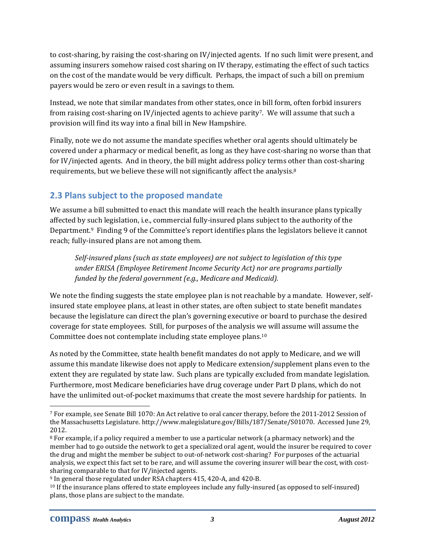to cost‐sharing, by raising the cost‐sharing on IV/injected agents. If no such limit were present, and assuming insurers somehow raised cost sharing on IV therapy, estimating the effect of such tactics on the cost of the mandate would be very difficult. Perhaps, the impact of such a bill on premium payers would be zero or even result in a savings to them.

Instead, we note that similar mandates from other states, once in bill form, often forbid insurers from raising cost-sharing on IV/injected agents to achieve parity<sup>7</sup>. We will assume that such a provision will find its way into a final bill in New Hampshire.

Finally, note we do not assume the mandate specifies whether oral agents should ultimately be covered under a pharmacy or medical benefit, as long as they have cost‐sharing no worse than that for IV/injected agents. And in theory, the bill might address policy terms other than cost-sharing requirements, but we believe these will not significantly affect the analysis.8

## **2.3 Plans subject to the proposed mandate**

We assume a bill submitted to enact this mandate will reach the health insurance plans typically affected by such legislation, i.e., commercial fully‐insured plans subject to the authority of the Department.9 Finding 9 of the Committee's report identifies plans the legislators believe it cannot reach; fully‐insured plans are not among them.

*Selfinsured plans (such as state employees) are not subject to legislation of this type under ERISA (Employee Retirement Income Security Act) nor are programs partially funded by the federal government (e.g., Medicare and Medicaid).*

We note the finding suggests the state employee plan is not reachable by a mandate. However, selfinsured state employee plans, at least in other states, are often subject to state benefit mandates because the legislature can direct the plan's governing executive or board to purchase the desired coverage for state employees. Still, for purposes of the analysis we will assume will assume the Committee does not contemplate including state employee plans.10

As noted by the Committee, state health benefit mandates do not apply to Medicare, and we will assume this mandate likewise does not apply to Medicare extension/supplement plans even to the extent they are regulated by state law. Such plans are typically excluded from mandate legislation. Furthermore, most Medicare beneficiaries have drug coverage under Part D plans, which do not have the unlimited out-of-pocket maximums that create the most severe hardship for patients. In

<sup>7</sup> For example, see Senate Bill 1070: An Act relative to oral cancer therapy, before the 2011‐2012 Session of the Massachusetts Legislature. http://www.malegislature.gov/Bills/187/Senate/S01070. Accessed June 29, 2012.

<sup>&</sup>lt;sup>8</sup> For example, if a policy required a member to use a particular network (a pharmacy network) and the member had to go outside the network to get a specialized oral agent, would the insurer be required to cover the drug and might the member be subject to out-of-network cost-sharing? For purposes of the actuarial analysis, we expect this fact set to be rare, and will assume the covering insurer will bear the cost, with costsharing comparable to that for IV/injected agents.

<sup>9</sup> In general those regulated under RSA chapters 415, 420‐A, and 420‐B.

<sup>10</sup> If the insurance plans offered to state employees include any fully‐insured (as opposed to self‐insured) plans, those plans are subject to the mandate.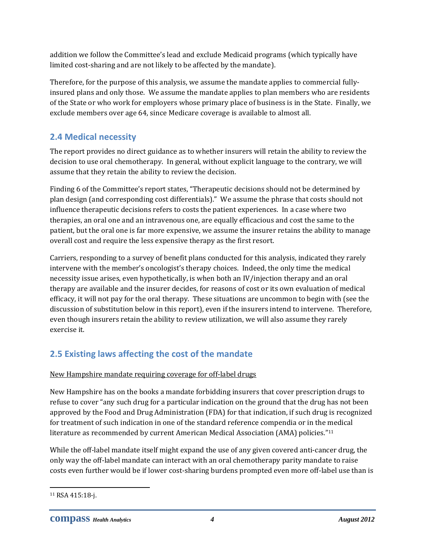addition we follow the Committee's lead and exclude Medicaid programs (which typically have limited cost-sharing and are not likely to be affected by the mandate).

Therefore, for the purpose of this analysis, we assume the mandate applies to commercial fully‐ insured plans and only those. We assume the mandate applies to plan members who are residents of the State or who work for employers whose primary place of business is in the State. Finally, we exclude members over age 64, since Medicare coverage is available to almost all.

## **2.4 Medical necessity**

The report provides no direct guidance as to whether insurers will retain the ability to review the decision to use oral chemotherapy. In general, without explicit language to the contrary, we will assume that they retain the ability to review the decision.

Finding 6 of the Committee's report states, "Therapeutic decisions should not be determined by plan design (and corresponding cost differentials)." We assume the phrase that costs should not influence therapeutic decisions refers to costs the patient experiences. In a case where two therapies, an oral one and an intravenous one, are equally efficacious and cost the same to the patient, but the oral one is far more expensive, we assume the insurer retains the ability to manage overall cost and require the less expensive therapy as the first resort.

Carriers, responding to a survey of benefit plans conducted for this analysis, indicated they rarely intervene with the member's oncologist's therapy choices. Indeed, the only time the medical necessity issue arises, even hypothetically, is when both an IV/injection therapy and an oral therapy are available and the insurer decides, for reasons of cost or its own evaluation of medical efficacy, it will not pay for the oral therapy. These situations are uncommon to begin with (see the discussion of substitution below in this report), even if the insurers intend to intervene. Therefore, even though insurers retain the ability to review utilization, we will also assume they rarely exercise it.

## **2.5 Existing laws affecting the cost of the mandate**

## New Hampshire mandate requiring coverage for off‐label drugs

New Hampshire has on the books a mandate forbidding insurers that cover prescription drugs to refuse to cover "any such drug for a particular indication on the ground that the drug has not been approved by the Food and Drug Administration (FDA) for that indication, if such drug is recognized for treatment of such indication in one of the standard reference compendia or in the medical literature as recommended by current American Medical Association (AMA) policies."11

While the off-label mandate itself might expand the use of any given covered anti-cancer drug, the only way the off‐label mandate can interact with an oral chemotherapy parity mandate to raise costs even further would be if lower cost‐sharing burdens prompted even more off‐label use than is

<u> 1989 - Johann Stein, marwolaethau a bh</u>

<sup>11</sup> RSA 415:18‐j.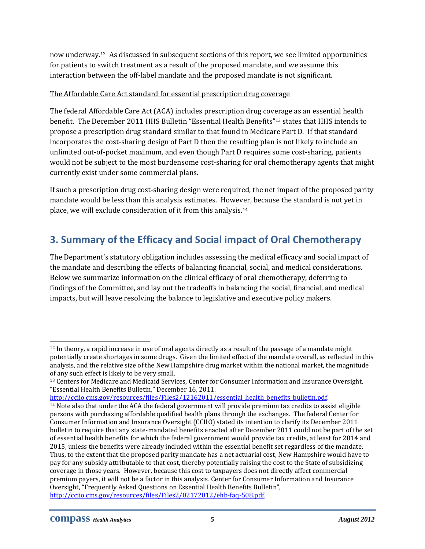now underway.12 As discussed in subsequent sections of this report, we see limited opportunities for patients to switch treatment as a result of the proposed mandate, and we assume this interaction between the off‐label mandate and the proposed mandate is not significant.

#### The Affordable Care Act standard for essential prescription drug coverage

The federal Affordable Care Act (ACA) includes prescription drug coverage as an essential health benefit. The December 2011 HHS Bulletin "Essential Health Benefits"13 states that HHS intends to propose a prescription drug standard similar to that found in Medicare Part D. If that standard incorporates the cost‐sharing design of Part D then the resulting plan is not likely to include an unlimited out-of-pocket maximum, and even though Part D requires some cost-sharing, patients would not be subject to the most burdensome cost-sharing for oral chemotherapy agents that might currently exist under some commercial plans.

If such a prescription drug cost-sharing design were required, the net impact of the proposed parity mandate would be less than this analysis estimates. However, because the standard is not yet in place, we will exclude consideration of it from this analysis.14

## **3. Summary of the Efficacy and Social impact of Oral Chemotherapy**

The Department's statutory obligation includes assessing the medical efficacy and social impact of the mandate and describing the effects of balancing financial, social, and medical considerations. Below we summarize information on the clinical efficacy of oral chemotherapy, deferring to findings of the Committee, and lay out the tradeoffs in balancing the social, financial, and medical impacts, but will leave resolving the balance to legislative and executive policy makers.

http://cciio.cms.gov/resources/files/Files2/12162011/essential\_health\_benefits\_bulletin.pdf.

<sup>12</sup> In theory, a rapid increase in use of oral agents directly as a result of the passage of a mandate might potentially create shortages in some drugs. Given the limited effect of the mandate overall, as reflected in this analysis, and the relative size of the New Hampshire drug market within the national market, the magnitude of any such effect is likely to be very small.

<sup>13</sup> Centers for Medicare and Medicaid Services, Center for Consumer Information and Insurance Oversight, "Essential Health Benefits Bulletin," December 16, 2011.

<sup>14</sup> Note also that under the ACA the federal government will provide premium tax credits to assist eligible persons with purchasing affordable qualified health plans through the exchanges. The federal Center for Consumer Information and Insurance Oversight (CCIIO) stated its intention to clarify its December 2011 bulletin to require that any state‐mandated benefits enacted after December 2011 could not be part of the set of essential health benefits for which the federal government would provide tax credits, at least for 2014 and 2015, unless the benefits were already included within the essential benefit set regardless of the mandate. Thus, to the extent that the proposed parity mandate has a net actuarial cost, New Hampshire would have to pay for any subsidy attributable to that cost, thereby potentially raising the cost to the State of subsidizing coverage in those years. However, because this cost to taxpayers does not directly affect commercial premium payers, it will not be a factor in this analysis. Center for Consumer Information and Insurance Oversight, "Frequently Asked Questions on Essential Health Benefits Bulletin", http://cciio.cms.gov/resources/files/Files2/02172012/ehb‐faq‐508.pdf.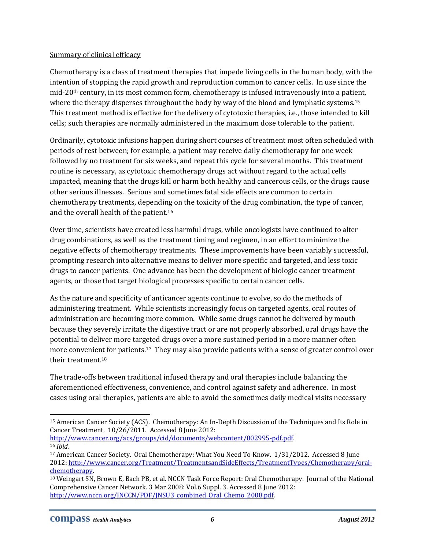#### Summary of clinical efficacy

Chemotherapy is a class of treatment therapies that impede living cells in the human body, with the intention of stopping the rapid growth and reproduction common to cancer cells. In use since the mid-20<sup>th</sup> century, in its most common form, chemotherapy is infused intravenously into a patient, where the therapy disperses throughout the body by way of the blood and lymphatic systems.<sup>15</sup> This treatment method is effective for the delivery of cytotoxic therapies, i.e., those intended to kill cells; such therapies are normally administered in the maximum dose tolerable to the patient.

Ordinarily, cytotoxic infusions happen during short courses of treatment most often scheduled with periods of rest between; for example, a patient may receive daily chemotherapy for one week followed by no treatment for six weeks, and repeat this cycle for several months. This treatment routine is necessary, as cytotoxic chemotherapy drugs act without regard to the actual cells impacted, meaning that the drugs kill or harm both healthy and cancerous cells, or the drugs cause other serious illnesses. Serious and sometimes fatal side effects are common to certain chemotherapy treatments, depending on the toxicity of the drug combination, the type of cancer, and the overall health of the patient.16

Over time, scientists have created less harmful drugs, while oncologists have continued to alter drug combinations, as well as the treatment timing and regimen, in an effort to minimize the negative effects of chemotherapy treatments. These improvements have been variably successful, prompting research into alternative means to deliver more specific and targeted, and less toxic drugs to cancer patients. One advance has been the development of biologic cancer treatment agents, or those that target biological processes specific to certain cancer cells.

As the nature and specificity of anticancer agents continue to evolve, so do the methods of administering treatment. While scientists increasingly focus on targeted agents, oral routes of administration are becoming more common. While some drugs cannot be delivered by mouth because they severely irritate the digestive tract or are not properly absorbed, oral drugs have the potential to deliver more targeted drugs over a more sustained period in a more manner often more convenient for patients.17 They may also provide patients with a sense of greater control over their treatment.18

The trade‐offs between traditional infused therapy and oral therapies include balancing the aforementioned effectiveness, convenience, and control against safety and adherence. In most cases using oral therapies, patients are able to avoid the sometimes daily medical visits necessary

http://www.cancer.org/acs/groups/cid/documents/webcontent/002995‐pdf.pdf. <sup>16</sup> *Ibid.*

<sup>15</sup> American Cancer Society (ACS). Chemotherapy: An In‐Depth Discussion of the Techniques and Its Role in Cancer Treatment. 10/26/2011. Accessed 8 June 2012:

<sup>&</sup>lt;sup>17</sup> American Cancer Society. Oral Chemotherapy: What You Need To Know. 1/31/2012. Accessed 8 June 2012: http://www.cancer.org/Treatment/TreatmentsandSideEffects/TreatmentTypes/Chemotherapy/oral‐ chemotherapy.

<sup>18</sup> Weingart SN, Brown E, Bach PB, et al. NCCN Task Force Report: Oral Chemotherapy. Journal of the National Comprehensive Cancer Network. 3 Mar 2008: Vol.6 Suppl. 3. Accessed 8 June 2012: http://www.nccn.org/JNCCN/PDF/JNSU3\_combined\_Oral\_Chemo\_2008.pdf.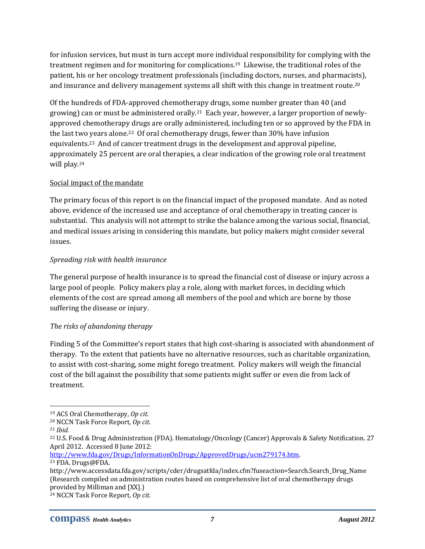for infusion services, but must in turn accept more individual responsibility for complying with the treatment regimen and for monitoring for complications.19 Likewise, the traditional roles of the patient, his or her oncology treatment professionals (including doctors, nurses, and pharmacists), and insurance and delivery management systems all shift with this change in treatment route.<sup>20</sup>

Of the hundreds of FDA‐approved chemotherapy drugs, some number greater than 40 (and growing) can or must be administered orally.21 Each year, however, a larger proportion of newly‐ approved chemotherapy drugs are orally administered, including ten or so approved by the FDA in the last two years alone.22 Of oral chemotherapy drugs, fewer than 30% have infusion equivalents.23 And of cancer treatment drugs in the development and approval pipeline, approximately 25 percent are oral therapies, a clear indication of the growing role oral treatment will play.24

#### Social impact of the mandate

The primary focus of this report is on the financial impact of the proposed mandate. And as noted above, evidence of the increased use and acceptance of oral chemotherapy in treating cancer is substantial. This analysis will not attempt to strike the balance among the various social, financial, and medical issues arising in considering this mandate, but policy makers might consider several issues.

#### *Spreading risk with health insurance*

The general purpose of health insurance is to spread the financial cost of disease or injury across a large pool of people. Policy makers play a role, along with market forces, in deciding which elements of the cost are spread among all members of the pool and which are borne by those suffering the disease or injury.

#### *The risks of abandoning therapy*

Finding 5 of the Committee's report states that high cost-sharing is associated with abandonment of therapy. To the extent that patients have no alternative resources, such as charitable organization, to assist with cost‐sharing, some might forego treatment. Policy makers will weigh the financial cost of the bill against the possibility that some patients might suffer or even die from lack of treatment.

23 FDA. Drugs@FDA.

 19 ACS Oral Chemotherapy, *Op cit.*

<sup>20</sup> NCCN Task Force Report, *Op cit.*

<sup>21</sup> *Ibid.*

<sup>22</sup> U.S. Food & Drug Administration (FDA). Hematology/Oncology (Cancer) Approvals & Safety Notification. 27 April 2012. Accessed 8 June 2012:

http://www.fda.gov/Drugs/InformationOnDrugs/ApprovedDrugs/ucm279174.htm.

http://www.accessdata.fda.gov/scripts/cder/drugsatfda/index.cfm?fuseaction=Search.Search\_Drug\_Name (Research compiled on administration routes based on comprehensive list of oral chemotherapy drugs provided by Milliman and [XX].)

<sup>24</sup> NCCN Task Force Report, *Op cit.*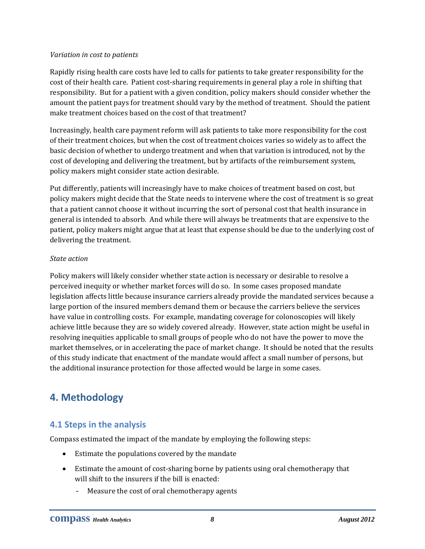#### *Variation in cost to patients*

Rapidly rising health care costs have led to calls for patients to take greater responsibility for the cost of their health care. Patient cost‐sharing requirements in general play a role in shifting that responsibility. But for a patient with a given condition, policy makers should consider whether the amount the patient pays for treatment should vary by the method of treatment. Should the patient make treatment choices based on the cost of that treatment?

Increasingly, health care payment reform will ask patients to take more responsibility for the cost of their treatment choices, but when the cost of treatment choices varies so widely as to affect the basic decision of whether to undergo treatment and when that variation is introduced, not by the cost of developing and delivering the treatment, but by artifacts of the reimbursement system, policy makers might consider state action desirable.

Put differently, patients will increasingly have to make choices of treatment based on cost, but policy makers might decide that the State needs to intervene where the cost of treatment is so great that a patient cannot choose it without incurring the sort of personal cost that health insurance in general is intended to absorb. And while there will always be treatments that are expensive to the patient, policy makers might argue that at least that expense should be due to the underlying cost of delivering the treatment.

#### *State action*

Policy makers will likely consider whether state action is necessary or desirable to resolve a perceived inequity or whether market forces will do so. In some cases proposed mandate legislation affects little because insurance carriers already provide the mandated services because a large portion of the insured members demand them or because the carriers believe the services have value in controlling costs. For example, mandating coverage for colonoscopies will likely achieve little because they are so widely covered already. However, state action might be useful in resolving inequities applicable to small groups of people who do not have the power to move the market themselves, or in accelerating the pace of market change. It should be noted that the results of this study indicate that enactment of the mandate would affect a small number of persons, but the additional insurance protection for those affected would be large in some cases.

## **4. Methodology**

## **4.1 Steps in the analysis**

Compass estimated the impact of the mandate by employing the following steps:

- Estimate the populations covered by the mandate
- Estimate the amount of cost‐sharing borne by patients using oral chemotherapy that will shift to the insurers if the bill is enacted:
	- Measure the cost of oral chemotherapy agents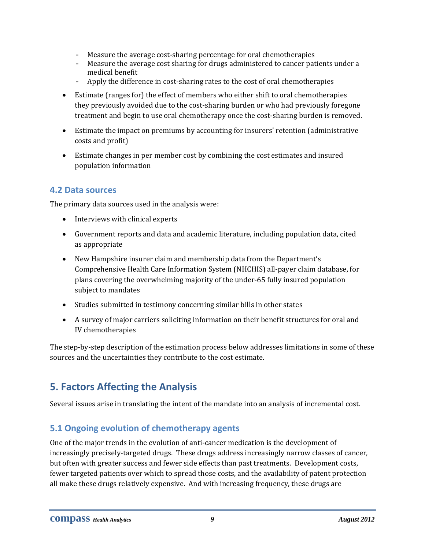- Measure the average cost-sharing percentage for oral chemotherapies
- Measure the average cost sharing for drugs administered to cancer patients under a medical benefit
- Apply the difference in cost‐sharing rates to the cost of oral chemotherapies
- Estimate (ranges for) the effect of members who either shift to oral chemotherapies they previously avoided due to the cost‐sharing burden or who had previously foregone treatment and begin to use oral chemotherapy once the cost-sharing burden is removed.
- Estimate the impact on premiums by accounting for insurers' retention (administrative costs and profit)
- Estimate changes in per member cost by combining the cost estimates and insured population information

## **4.2 Data sources**

The primary data sources used in the analysis were:

- Interviews with clinical experts
- Government reports and data and academic literature, including population data, cited as appropriate
- New Hampshire insurer claim and membership data from the Department's Comprehensive Health Care Information System (NHCHIS) all‐payer claim database, for plans covering the overwhelming majority of the under‐65 fully insured population subject to mandates
- Studies submitted in testimony concerning similar bills in other states
- A survey of major carriers soliciting information on their benefit structures for oral and IV chemotherapies

The step-by-step description of the estimation process below addresses limitations in some of these sources and the uncertainties they contribute to the cost estimate.

## **5. Factors Affecting the Analysis**

Several issues arise in translating the intent of the mandate into an analysis of incremental cost.

## **5.1 Ongoing evolution of chemotherapy agents**

One of the major trends in the evolution of anti‐cancer medication is the development of increasingly precisely-targeted drugs. These drugs address increasingly narrow classes of cancer, but often with greater success and fewer side effects than past treatments. Development costs, fewer targeted patients over which to spread those costs, and the availability of patent protection all make these drugs relatively expensive. And with increasing frequency, these drugs are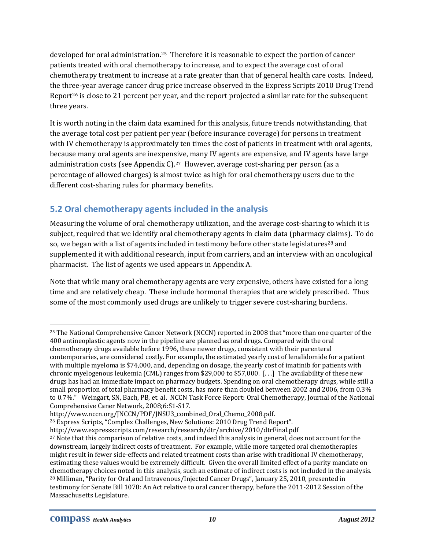developed for oral administration.25 Therefore it is reasonable to expect the portion of cancer patients treated with oral chemotherapy to increase, and to expect the average cost of oral chemotherapy treatment to increase at a rate greater than that of general health care costs. Indeed, the three‐year average cancer drug price increase observed in the Express Scripts 2010 Drug Trend Report<sup>26</sup> is close to 21 percent per year, and the report projected a similar rate for the subsequent three years.

It is worth noting in the claim data examined for this analysis, future trends notwithstanding, that the average total cost per patient per year (before insurance coverage) for persons in treatment with IV chemotherapy is approximately ten times the cost of patients in treatment with oral agents, because many oral agents are inexpensive, many IV agents are expensive, and IV agents have large administration costs (see Appendix  $C$ ).<sup>27</sup> However, average cost-sharing per person (as a percentage of allowed charges) is almost twice as high for oral chemotherapy users due to the different cost-sharing rules for pharmacy benefits.

## **5.2 Oral chemotherapy agents included in the analysis**

Measuring the volume of oral chemotherapy utilization, and the average cost-sharing to which it is subject, required that we identify oral chemotherapy agents in claim data (pharmacy claims). To do so, we began with a list of agents included in testimony before other state legislatures<sup>28</sup> and supplemented it with additional research, input from carriers, and an interview with an oncological pharmacist. The list of agents we used appears in Appendix A.

Note that while many oral chemotherapy agents are very expensive, others have existed for a long time and are relatively cheap. These include hormonal therapies that are widely prescribed. Thus some of the most commonly used drugs are unlikely to trigger severe cost-sharing burdens.

26 Express Scripts, "Complex Challenges, New Solutions: 2010 Drug Trend Report".

<u> Andreas Andreas Andreas Andreas Andreas Andreas Andreas Andreas Andreas Andreas Andreas Andreas Andreas Andreas</u>

<sup>&</sup>lt;sup>25</sup> The National Comprehensive Cancer Network (NCCN) reported in 2008 that "more than one quarter of the 400 antineoplastic agents now in the pipeline are planned as oral drugs. Compared with the oral chemotherapy drugs available before 1996, these newer drugs, consistent with their parenteral contemporaries, are considered costly. For example, the estimated yearly cost of lenalidomide for a patient with multiple myeloma is \$74,000, and, depending on dosage, the yearly cost of imatinib for patients with chronic myelogenous leukemia (CML) ranges from \$29,000 to \$57,000. [. . .] The availability of these new drugs has had an immediate impact on pharmacy budgets. Spending on oral chemotherapy drugs, while still a small proportion of total pharmacy benefit costs, has more than doubled between 2002 and 2006, from 0.3% to 0.7%." Weingart, SN, Bach, PB, et. al. NCCN Task Force Report: Oral Chemotherapy, Journal of the National Comprehensive Caner Network, 2008;6:S1‐S17.

http://www.nccn.org/JNCCN/PDF/JNSU3\_combined\_Oral\_Chemo\_2008.pdf.

http://www.expressscripts.com/research/research/dtr/archive/2010/dtrFinal.pdf

<sup>&</sup>lt;sup>27</sup> Note that this comparison of relative costs, and indeed this analysis in general, does not account for the downstream, largely indirect costs of treatment. For example, while more targeted oral chemotherapies might result in fewer side‐effects and related treatment costs than arise with traditional IV chemotherapy, estimating these values would be extremely difficult. Given the overall limited effect of a parity mandate on chemotherapy choices noted in this analysis, such an estimate of indirect costs is not included in the analysis. 28 Milliman, "Parity for Oral and Intravenous/Injected Cancer Drugs", January 25, 2010, presented in testimony for Senate Bill 1070: An Act relative to oral cancer therapy, before the 2011‐2012 Session of the Massachusetts Legislature.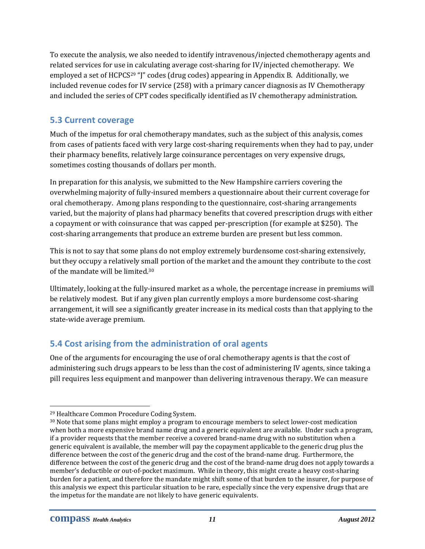To execute the analysis, we also needed to identify intravenous/injected chemotherapy agents and related services for use in calculating average cost-sharing for IV/injected chemotherapy. We employed a set of HCPCS<sup>29</sup> "]" codes (drug codes) appearing in Appendix B. Additionally, we included revenue codes for IV service (258) with a primary cancer diagnosis as IV Chemotherapy and included the series of CPT codes specifically identified as IV chemotherapy administration.

## **5.3 Current coverage**

Much of the impetus for oral chemotherapy mandates, such as the subject of this analysis, comes from cases of patients faced with very large cost-sharing requirements when they had to pay, under their pharmacy benefits, relatively large coinsurance percentages on very expensive drugs, sometimes costing thousands of dollars per month.

In preparation for this analysis, we submitted to the New Hampshire carriers covering the overwhelming majority of fully‐insured members a questionnaire about their current coverage for oral chemotherapy. Among plans responding to the questionnaire, cost‐sharing arrangements varied, but the majority of plans had pharmacy benefits that covered prescription drugs with either a copayment or with coinsurance that was capped per‐prescription (for example at \$250). The cost-sharing arrangements that produce an extreme burden are present but less common.

This is not to say that some plans do not employ extremely burdensome cost-sharing extensively, but they occupy a relatively small portion of the market and the amount they contribute to the cost of the mandate will be limited.30

Ultimately, looking at the fully‐insured market as a whole, the percentage increase in premiums will be relatively modest. But if any given plan currently employs a more burdensome cost-sharing arrangement, it will see a significantly greater increase in its medical costs than that applying to the state‐wide average premium.

## **5.4 Cost arising from the administration of oral agents**

One of the arguments for encouraging the use of oral chemotherapy agents is that the cost of administering such drugs appears to be less than the cost of administering IV agents, since taking a pill requires less equipment and manpower than delivering intravenous therapy. We can measure

<sup>29</sup> Healthcare Common Procedure Coding System.

<sup>&</sup>lt;sup>30</sup> Note that some plans might employ a program to encourage members to select lower-cost medication when both a more expensive brand name drug and a generic equivalent are available. Under such a program, if a provider requests that the member receive a covered brand‐name drug with no substitution when a generic equivalent is available, the member will pay the copayment applicable to the generic drug plus the difference between the cost of the generic drug and the cost of the brand‐name drug. Furthermore, the difference between the cost of the generic drug and the cost of the brand‐name drug does not apply towards a member's deductible or out-of-pocket maximum. While in theory, this might create a heavy cost-sharing burden for a patient, and therefore the mandate might shift some of that burden to the insurer, for purpose of this analysis we expect this particular situation to be rare, especially since the very expensive drugs that are the impetus for the mandate are not likely to have generic equivalents.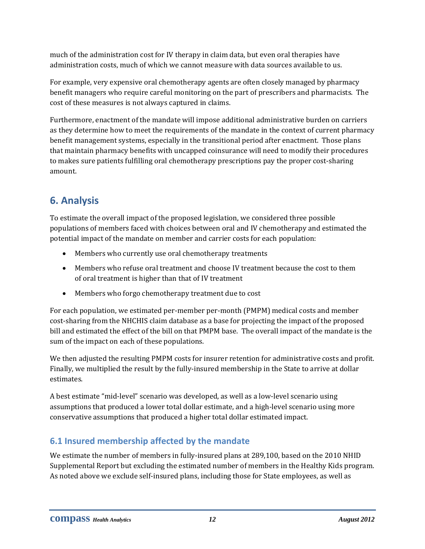much of the administration cost for IV therapy in claim data, but even oral therapies have administration costs, much of which we cannot measure with data sources available to us.

For example, very expensive oral chemotherapy agents are often closely managed by pharmacy benefit managers who require careful monitoring on the part of prescribers and pharmacists. The cost of these measures is not always captured in claims.

Furthermore, enactment of the mandate will impose additional administrative burden on carriers as they determine how to meet the requirements of the mandate in the context of current pharmacy benefit management systems, especially in the transitional period after enactment. Those plans that maintain pharmacy benefits with uncapped coinsurance will need to modify their procedures to makes sure patients fulfilling oral chemotherapy prescriptions pay the proper cost-sharing amount.

# **6. Analysis**

To estimate the overall impact of the proposed legislation, we considered three possible populations of members faced with choices between oral and IV chemotherapy and estimated the potential impact of the mandate on member and carrier costs for each population:

- Members who currently use oral chemotherapy treatments
- Members who refuse oral treatment and choose IV treatment because the cost to them of oral treatment is higher than that of IV treatment
- Members who forgo chemotherapy treatment due to cost

For each population, we estimated per-member per-month (PMPM) medical costs and member cost‐sharing from the NHCHIS claim database as a base for projecting the impact of the proposed bill and estimated the effect of the bill on that PMPM base. The overall impact of the mandate is the sum of the impact on each of these populations.

We then adjusted the resulting PMPM costs for insurer retention for administrative costs and profit. Finally, we multiplied the result by the fully‐insured membership in the State to arrive at dollar estimates.

A best estimate "mid‐level" scenario was developed, as well as a low‐level scenario using assumptions that produced a lower total dollar estimate, and a high‐level scenario using more conservative assumptions that produced a higher total dollar estimated impact.

## **6.1 Insured membership affected by the mandate**

We estimate the number of members in fully-insured plans at 289,100, based on the 2010 NHID Supplemental Report but excluding the estimated number of members in the Healthy Kids program. As noted above we exclude self-insured plans, including those for State employees, as well as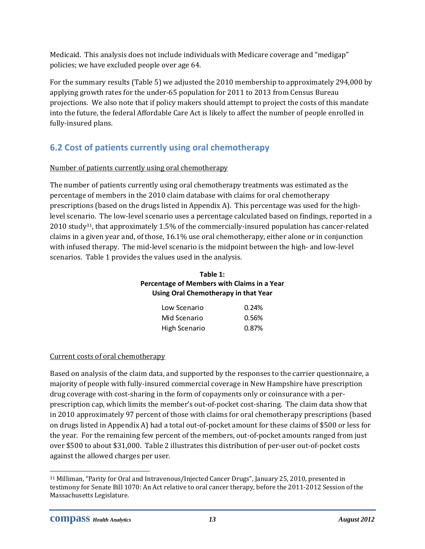Medicaid. This analysis does not include individuals with Medicare coverage and "medigap" policies; we have excluded people over age 64.

For the summary results (Table 5) we adjusted the 2010 membership to approximately 294,000 by applying growth rates for the under‐65 population for 2011 to 2013 from Census Bureau projections. We also note that if policy makers should attempt to project the costs of this mandate into the future, the federal Affordable Care Act is likely to affect the number of people enrolled in fully‐insured plans.

## **6.2 Cost of patients currently using oral chemotherapy**

## Number of patients currently using oral chemotherapy

The number of patients currently using oral chemotherapy treatments was estimated as the percentage of members in the 2010 claim database with claims for oral chemotherapy prescriptions (based on the drugs listed in Appendix A). This percentage was used for the highlevel scenario. The low‐level scenario uses a percentage calculated based on findings, reported in a 2010 study<sup>31</sup>, that approximately 1.5% of the commercially-insured population has cancer-related claims in a given year and, of those, 16.1% use oral chemotherapy, either alone or in conjunction with infused therapy. The mid-level scenario is the midpoint between the high- and low-level scenarios. Table 1 provides the values used in the analysis.

#### **Table 1: Percentage of Members with Claims in a Year Using Oral Chemotherapy in that Year**

| Low Scenario  | 0.24% |
|---------------|-------|
| Mid Scenario  | 0.56% |
| High Scenario | 0.87% |

## Current costs of oral chemotherapy

Based on analysis of the claim data, and supported by the responses to the carrier questionnaire, a majority of people with fully‐insured commercial coverage in New Hampshire have prescription drug coverage with cost-sharing in the form of copayments only or coinsurance with a perprescription cap, which limits the member's out‐of‐pocket cost‐sharing. The claim data show that in 2010 approximately 97 percent of those with claims for oral chemotherapy prescriptions (based on drugs listed in Appendix A) had a total out‐of‐pocket amount for these claims of \$500 or less for the year. For the remaining few percent of the members, out-of-pocket amounts ranged from just over \$500 to about \$31,000. Table 2 illustrates this distribution of per‐user out‐of‐pocket costs against the allowed charges per user.

<sup>31</sup> Milliman, "Parity for Oral and Intravenous/Injected Cancer Drugs", January 25, 2010, presented in testimony for Senate Bill 1070: An Act relative to oral cancer therapy, before the 2011‐2012 Session of the Massachusetts Legislature.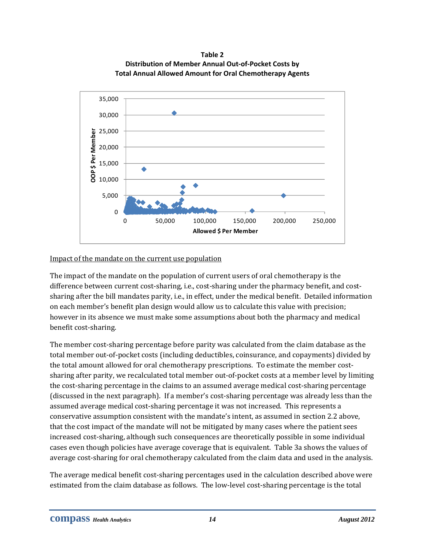**Table 2 Distribution of Member Annual Out‐of‐Pocket Costs by Total Annual Allowed Amount for Oral Chemotherapy Agents**



#### Impact of the mandate on the current use population

The impact of the mandate on the population of current users of oral chemotherapy is the difference between current cost-sharing, i.e., cost-sharing under the pharmacy benefit, and costsharing after the bill mandates parity, i.e., in effect, under the medical benefit. Detailed information on each member's benefit plan design would allow us to calculate this value with precision; however in its absence we must make some assumptions about both the pharmacy and medical benefit cost‐sharing.

The member cost-sharing percentage before parity was calculated from the claim database as the total member out‐of‐pocket costs (including deductibles, coinsurance, and copayments) divided by the total amount allowed for oral chemotherapy prescriptions. To estimate the member costsharing after parity, we recalculated total member out‐of‐pocket costs at a member level by limiting the cost‐sharing percentage in the claims to an assumed average medical cost‐sharing percentage (discussed in the next paragraph). If a member's cost‐sharing percentage was already less than the assumed average medical cost‐sharing percentage it was not increased. This represents a conservative assumption consistent with the mandate's intent, as assumed in section 2.2 above, that the cost impact of the mandate will not be mitigated by many cases where the patient sees increased cost‐sharing, although such consequences are theoretically possible in some individual cases even though policies have average coverage that is equivalent. Table 3a shows the values of average cost-sharing for oral chemotherapy calculated from the claim data and used in the analysis.

The average medical benefit cost-sharing percentages used in the calculation described above were estimated from the claim database as follows. The low‐level cost‐sharing percentage is the total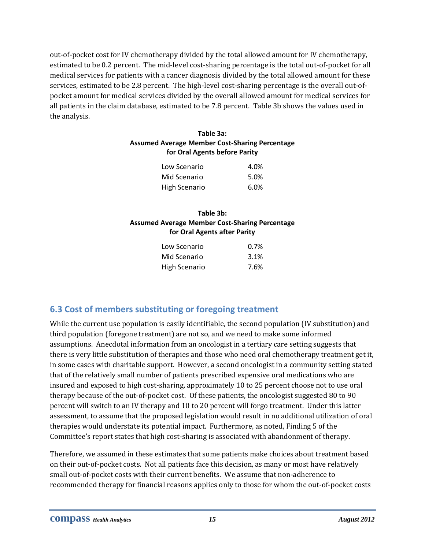out‐of‐pocket cost for IV chemotherapy divided by the total allowed amount for IV chemotherapy, estimated to be 0.2 percent. The mid‐level cost‐sharing percentage is the total out‐of‐pocket for all medical services for patients with a cancer diagnosis divided by the total allowed amount for these services, estimated to be 2.8 percent. The high-level cost-sharing percentage is the overall out-ofpocket amount for medical services divided by the overall allowed amount for medical services for all patients in the claim database, estimated to be 7.8 percent. Table 3b shows the values used in the analysis.

#### **Table 3a: Assumed Average Member Cost‐Sharing Percentage for Oral Agents before Parity**

| Low Scenario  | 4.0% |
|---------------|------|
| Mid Scenario  | 5.0% |
| High Scenario | 6.0% |

## **Table 3b: Assumed Average Member Cost‐Sharing Percentage for Oral Agents after Parity**

| Low Scenario  | $0.7\%$ |
|---------------|---------|
| Mid Scenario  | 3.1%    |
| High Scenario | 7.6%    |

## **6.3 Cost of members substituting or foregoing treatment**

While the current use population is easily identifiable, the second population (IV substitution) and third population (foregone treatment) are not so, and we need to make some informed assumptions. Anecdotal information from an oncologist in a tertiary care setting suggests that there is very little substitution of therapies and those who need oral chemotherapy treatment get it, in some cases with charitable support. However, a second oncologist in a community setting stated that of the relatively small number of patients prescribed expensive oral medications who are insured and exposed to high cost‐sharing, approximately 10 to 25 percent choose not to use oral therapy because of the out‐of‐pocket cost. Of these patients, the oncologist suggested 80 to 90 percent will switch to an IV therapy and 10 to 20 percent will forgo treatment. Under this latter assessment, to assume that the proposed legislation would result in no additional utilization of oral therapies would understate its potential impact. Furthermore, as noted, Finding 5 of the Committee's report states that high cost‐sharing is associated with abandonment of therapy.

Therefore, we assumed in these estimates that some patients make choices about treatment based on their out‐of‐pocket costs. Not all patients face this decision, as many or most have relatively small out-of-pocket costs with their current benefits. We assume that non-adherence to recommended therapy for financial reasons applies only to those for whom the out‐of‐pocket costs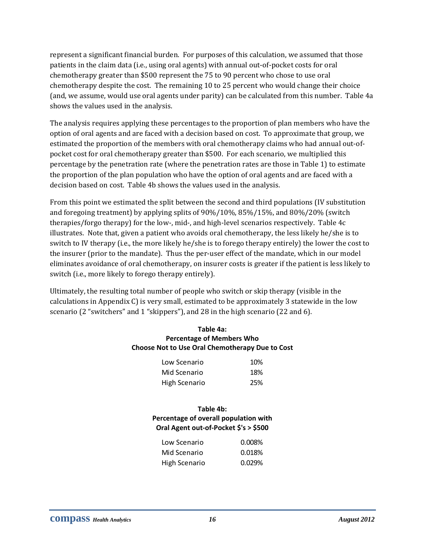represent a significant financial burden. For purposes of this calculation, we assumed that those patients in the claim data (i.e., using oral agents) with annual out‐of‐pocket costs for oral chemotherapy greater than \$500 represent the 75 to 90 percent who chose to use oral chemotherapy despite the cost. The remaining 10 to 25 percent who would change their choice (and, we assume, would use oral agents under parity) can be calculated from this number. Table 4a shows the values used in the analysis.

The analysis requires applying these percentages to the proportion of plan members who have the option of oral agents and are faced with a decision based on cost. To approximate that group, we estimated the proportion of the members with oral chemotherapy claims who had annual out-ofpocket cost for oral chemotherapy greater than \$500. For each scenario, we multiplied this percentage by the penetration rate (where the penetration rates are those in Table 1) to estimate the proportion of the plan population who have the option of oral agents and are faced with a decision based on cost. Table 4b shows the values used in the analysis.

From this point we estimated the split between the second and third populations (IV substitution and foregoing treatment) by applying splits of 90%/10%, 85%/15%, and 80%/20% (switch therapies/forgo therapy) for the low‐, mid‐, and high‐level scenarios respectively. Table 4c illustrates. Note that, given a patient who avoids oral chemotherapy, the less likely he/she is to switch to IV therapy (i.e., the more likely he/she is to forego therapy entirely) the lower the cost to the insurer (prior to the mandate). Thus the per‐user effect of the mandate, which in our model eliminates avoidance of oral chemotherapy, on insurer costs is greater if the patient is less likely to switch (i.e., more likely to forego therapy entirely).

Ultimately, the resulting total number of people who switch or skip therapy (visible in the calculations in Appendix C) is very small, estimated to be approximately 3 statewide in the low scenario (2 "switchers" and 1 "skippers"), and 28 in the high scenario (22 and 6).

#### **Table 4a: Percentage of Members Who Choose Not to Use Oral Chemotherapy Due to Cost**

| Low Scenario  | 10% |
|---------------|-----|
| Mid Scenario  | 18% |
| High Scenario | 25% |

#### **Table 4b: Percentage of overall population with Oral Agent out‐of‐Pocket \$'s > \$500**

| Low Scenario  | 0.008% |
|---------------|--------|
| Mid Scenario  | 0.018% |
| High Scenario | 0.029% |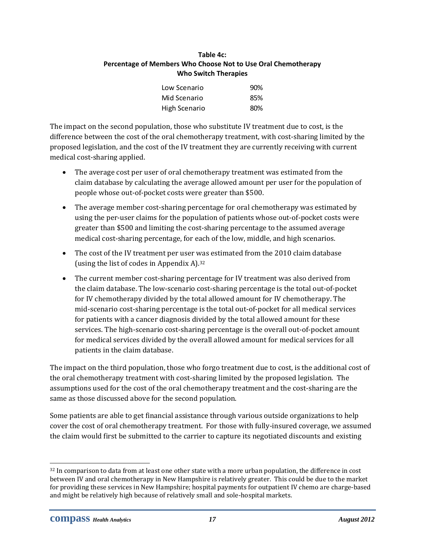#### **Table 4c: Percentage of Members Who Choose Not to Use Oral Chemotherapy Who Switch Therapies**

| Low Scenario  | 90% |
|---------------|-----|
| Mid Scenario  | 85% |
| High Scenario | 80% |

The impact on the second population, those who substitute IV treatment due to cost, is the difference between the cost of the oral chemotherapy treatment, with cost‐sharing limited by the proposed legislation, and the cost of the IV treatment they are currently receiving with current medical cost‐sharing applied.

- The average cost per user of oral chemotherapy treatment was estimated from the claim database by calculating the average allowed amount per user for the population of people whose out‐of‐pocket costs were greater than \$500.
- The average member cost-sharing percentage for oral chemotherapy was estimated by using the per-user claims for the population of patients whose out-of-pocket costs were greater than \$500 and limiting the cost‐sharing percentage to the assumed average medical cost-sharing percentage, for each of the low, middle, and high scenarios.
- The cost of the IV treatment per user was estimated from the 2010 claim database (using the list of codes in Appendix A).32
- The current member cost-sharing percentage for IV treatment was also derived from the claim database. The low‐scenario cost‐sharing percentage is the total out‐of‐pocket for IV chemotherapy divided by the total allowed amount for IV chemotherapy. The mid‐scenario cost‐sharing percentage is the total out‐of‐pocket for all medical services for patients with a cancer diagnosis divided by the total allowed amount for these services. The high-scenario cost-sharing percentage is the overall out-of-pocket amount for medical services divided by the overall allowed amount for medical services for all patients in the claim database.

The impact on the third population, those who forgo treatment due to cost, is the additional cost of the oral chemotherapy treatment with cost‐sharing limited by the proposed legislation. The assumptions used for the cost of the oral chemotherapy treatment and the cost‐sharing are the same as those discussed above for the second population.

Some patients are able to get financial assistance through various outside organizations to help cover the cost of oral chemotherapy treatment. For those with fully‐insured coverage, we assumed the claim would first be submitted to the carrier to capture its negotiated discounts and existing

 <sup>32</sup> In comparison to data from at least one other state with a more urban population, the difference in cost between IV and oral chemotherapy in New Hampshire is relatively greater. This could be due to the market for providing these services in New Hampshire; hospital payments for outpatient IV chemo are charge‐based and might be relatively high because of relatively small and sole‐hospital markets.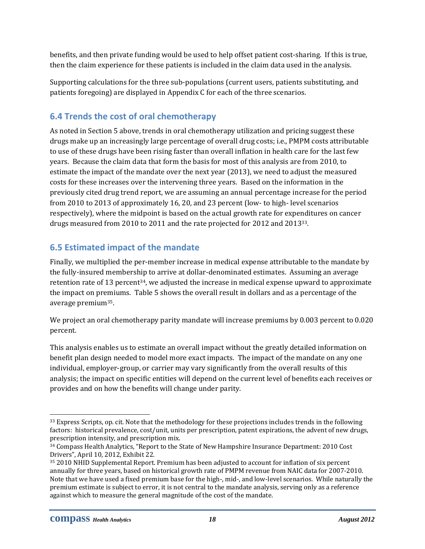benefits, and then private funding would be used to help offset patient cost‐sharing. If this is true, then the claim experience for these patients is included in the claim data used in the analysis.

Supporting calculations for the three sub‐populations (current users, patients substituting, and patients foregoing) are displayed in Appendix C for each of the three scenarios.

## **6.4 Trends the cost of oral chemotherapy**

As noted in Section 5 above, trends in oral chemotherapy utilization and pricing suggest these drugs make up an increasingly large percentage of overall drug costs; i.e., PMPM costs attributable to use of these drugs have been rising faster than overall inflation in health care for the last few years. Because the claim data that form the basis for most of this analysis are from 2010, to estimate the impact of the mandate over the next year (2013), we need to adjust the measured costs for these increases over the intervening three years. Based on the information in the previously cited drug trend report, we are assuming an annual percentage increase for the period from 2010 to 2013 of approximately 16, 20, and 23 percent (low- to high-level scenarios respectively), where the midpoint is based on the actual growth rate for expenditures on cancer drugs measured from 2010 to 2011 and the rate projected for 2012 and 201333.

## **6.5 Estimated impact of the mandate**

Finally, we multiplied the per-member increase in medical expense attributable to the mandate by the fully‐insured membership to arrive at dollar‐denominated estimates. Assuming an average retention rate of 13 percent<sup>34</sup>, we adjusted the increase in medical expense upward to approximate the impact on premiums. Table 5 shows the overall result in dollars and as a percentage of the average premium35.

We project an oral chemotherapy parity mandate will increase premiums by 0.003 percent to 0.020 percent.

This analysis enables us to estimate an overall impact without the greatly detailed information on benefit plan design needed to model more exact impacts. The impact of the mandate on any one individual, employer‐group, or carrier may vary significantly from the overall results of this analysis; the impact on specific entities will depend on the current level of benefits each receives or provides and on how the benefits will change under parity.

 <sup>33</sup> Express Scripts, op. cit. Note that the methodology for these projections includes trends in the following factors: historical prevalence, cost/unit, units per prescription, patent expirations, the advent of new drugs, prescription intensity, and prescription mix.

<sup>&</sup>lt;sup>34</sup> Compass Health Analytics, "Report to the State of New Hampshire Insurance Department: 2010 Cost Drivers", April 10, 2012, Exhibit 22.

<sup>35 2010</sup> NHID Supplemental Report. Premium has been adjusted to account for inflation of six percent annually for three years, based on historical growth rate of PMPM revenue from NAIC data for 2007‐2010. Note that we have used a fixed premium base for the high‐, mid‐, and low‐level scenarios. While naturally the premium estimate is subject to error, it is not central to the mandate analysis, serving only as a reference against which to measure the general magnitude of the cost of the mandate.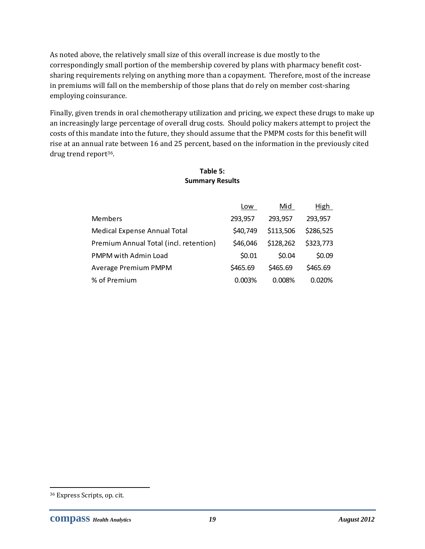As noted above, the relatively small size of this overall increase is due mostly to the correspondingly small portion of the membership covered by plans with pharmacy benefit costsharing requirements relying on anything more than a copayment. Therefore, most of the increase in premiums will fall on the membership of those plans that do rely on member cost‐sharing employing coinsurance.

Finally, given trends in oral chemotherapy utilization and pricing, we expect these drugs to make up an increasingly large percentage of overall drug costs. Should policy makers attempt to project the costs of this mandate into the future, they should assume that the PMPM costs for this benefit will rise at an annual rate between 16 and 25 percent, based on the information in the previously cited drug trend report36.

|                                        | Low      | Mid       | <u>High</u> |
|----------------------------------------|----------|-----------|-------------|
| Members                                | 293,957  | 293,957   | 293,957     |
| Medical Expense Annual Total           | \$40,749 | \$113,506 | \$286,525   |
| Premium Annual Total (incl. retention) | \$46,046 | \$128,262 | \$323,773   |
| PMPM with Admin Load                   | \$0.01   | \$0.04    | \$0.09      |
| Average Premium PMPM                   | \$465.69 | \$465.69  | \$465.69    |
| % of Premium                           | 0.003%   | 0.008%    | 0.020%      |

#### **Table 5: Summary Results**

<u> Andreas Andreas Andreas Andreas Andreas Andreas Andreas Andreas Andreas Andreas Andreas Andreas Andreas Andreas</u>

<sup>36</sup> Express Scripts, op. cit.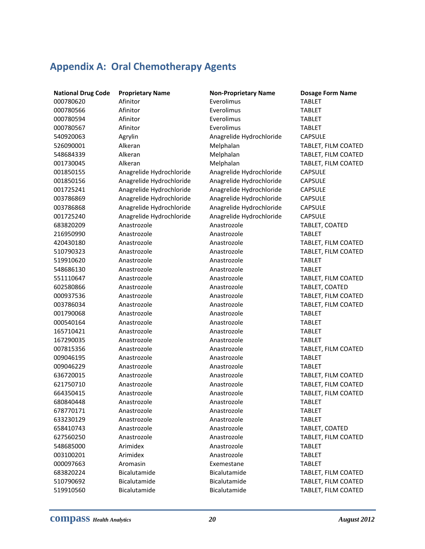## **Appendix A: Oral Chemotherapy Agents**

 Afinitor Everolimus TABLET Afinitor Everolimus TABLET Afinitor Everolimus TABLET Afinitor Everolimus TABLET Agrylin Anagrelide Hydrochloride CAPSULE Anagrelide Hydrochloride Anagrelide Hydrochloride CAPSULE Anagrelide Hydrochloride Anagrelide Hydrochloride CAPSULE Anagrelide Hydrochloride Anagrelide Hydrochloride CAPSULE Anagrelide Hydrochloride Anagrelide Hydrochloride CAPSULE Anagrelide Hydrochloride Anagrelide Hydrochloride CAPSULE Anagrelide Hydrochloride Anagrelide Hydrochloride CAPSULE Anastrozole Anastrozole TABLET Anastrozole Anastrozole TABLET Anastrozole Anastrozole TABLET Anastrozole Anastrozole TABLET Anastrozole Anastrozole TABLET Anastrozole Anastrozole TABLET Anastrozole Anastrozole TABLET Anastrozole Anastrozole TABLET Anastrozole Anastrozole TABLET Anastrozole Anastrozole TABLET Anastrozole Anastrozole TABLET Anastrozole Anastrozole TABLET Arimidex Anastrozole TABLET Arimidex Anastrozole TABLET Aromasin Exemestane TABLET

**National Drug Code Proprietary Name Non‐Proprietary Name Dosage Form Name** Alkeran Melphalan TABLET, FILM COATED Alkeran Melphalan TABLET, FILM COATED Alkeran Melphalan TABLET, FILM COATED Anastrozole Anastrozole TABLET, COATED Anastrozole Anastrozole TABLET, FILM COATED Anastrozole Anastrozole TABLET, FILM COATED Anastrozole Anastrozole TABLET, FILM COATED Anastrozole Anastrozole TABLET, COATED Anastrozole Anastrozole TABLET, FILM COATED Anastrozole Anastrozole TABLET, FILM COATED Anastrozole Anastrozole TABLET, FILM COATED Anastrozole Anastrozole TABLET, FILM COATED Anastrozole Anastrozole TABLET, FILM COATED Anastrozole Anastrozole TABLET, FILM COATED Anastrozole Anastrozole TABLET, COATED Anastrozole Anastrozole TABLET, FILM COATED Bicalutamide Bicalutamide TABLET, FILM COATED Bicalutamide Bicalutamide TABLET, FILM COATED Bicalutamide Bicalutamide TABLET, FILM COATED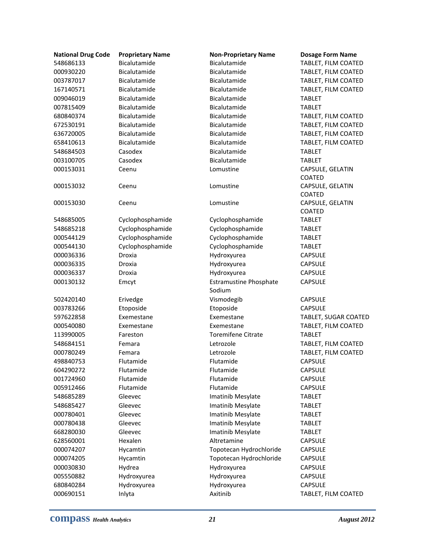| <b>National Drug Code</b> | <b>Proprietary Name</b> | <b>Non-Proprietary Name</b>             | <b>Dosage Form Name</b>    |
|---------------------------|-------------------------|-----------------------------------------|----------------------------|
| 548686133                 | Bicalutamide            | Bicalutamide                            | TABLET, FILM COATED        |
| 000930220                 | Bicalutamide            | Bicalutamide                            | TABLET, FILM COATED        |
| 003787017                 | Bicalutamide            | Bicalutamide                            | TABLET, FILM COATED        |
| 167140571                 | Bicalutamide            | Bicalutamide                            | TABLET, FILM COATED        |
| 009046019                 | Bicalutamide            | Bicalutamide                            | <b>TABLET</b>              |
| 007815409                 | Bicalutamide            | Bicalutamide                            | <b>TABLET</b>              |
| 680840374                 | Bicalutamide            | Bicalutamide                            | TABLET, FILM COATED        |
| 672530191                 | Bicalutamide            | Bicalutamide                            | TABLET, FILM COATED        |
| 636720005                 | Bicalutamide            | Bicalutamide                            | TABLET, FILM COATED        |
| 658410613                 | Bicalutamide            | Bicalutamide                            | TABLET, FILM COATED        |
| 548684503                 | Casodex                 | Bicalutamide                            | <b>TABLET</b>              |
| 003100705                 | Casodex                 | Bicalutamide                            | <b>TABLET</b>              |
| 000153031                 | Ceenu                   | Lomustine                               | CAPSULE, GELATIN<br>COATED |
| 000153032                 | Ceenu                   | Lomustine                               | CAPSULE, GELATIN           |
|                           |                         |                                         | <b>COATED</b>              |
| 000153030                 | Ceenu                   | Lomustine                               | CAPSULE, GELATIN           |
|                           |                         |                                         | COATED                     |
| 548685005                 | Cyclophosphamide        | Cyclophosphamide                        | <b>TABLET</b>              |
| 548685218                 | Cyclophosphamide        | Cyclophosphamide                        | <b>TABLET</b>              |
| 000544129                 | Cyclophosphamide        | Cyclophosphamide                        | <b>TABLET</b>              |
| 000544130                 | Cyclophosphamide        | Cyclophosphamide                        | <b>TABLET</b>              |
| 000036336                 | Droxia                  | Hydroxyurea                             | <b>CAPSULE</b>             |
| 000036335                 | Droxia                  | Hydroxyurea                             | <b>CAPSULE</b>             |
| 000036337                 | Droxia                  | Hydroxyurea                             | <b>CAPSULE</b>             |
| 000130132                 | Emcyt                   | <b>Estramustine Phosphate</b><br>Sodium | <b>CAPSULE</b>             |
| 502420140                 | Erivedge                | Vismodegib                              | <b>CAPSULE</b>             |
| 003783266                 | Etoposide               | Etoposide                               | <b>CAPSULE</b>             |
| 597622858                 | Exemestane              | Exemestane                              | TABLET, SUGAR COATED       |
| 000540080                 | Exemestane              | Exemestane                              | TABLET, FILM COATED        |
| 113990005                 | Fareston                | <b>Toremifene Citrate</b>               | <b>TABLET</b>              |
| 548684151                 | Femara                  | Letrozole                               | TABLET, FILM COATED        |
| 000780249                 | Femara                  | Letrozole                               | TABLET, FILM COATED        |
| 498840753                 | Flutamide               | Flutamide                               | <b>CAPSULE</b>             |
| 604290272                 | Flutamide               | Flutamide                               | <b>CAPSULE</b>             |
| 001724960                 | Flutamide               | Flutamide                               | <b>CAPSULE</b>             |
| 005912466                 | Flutamide               | Flutamide                               | <b>CAPSULE</b>             |
| 548685289                 | Gleevec                 | Imatinib Mesylate                       | <b>TABLET</b>              |
| 548685427                 | Gleevec                 | Imatinib Mesylate                       | <b>TABLET</b>              |
| 000780401                 | Gleevec                 | Imatinib Mesylate                       | <b>TABLET</b>              |
| 000780438                 | Gleevec                 | Imatinib Mesylate                       | <b>TABLET</b>              |
| 668280030                 | Gleevec                 | Imatinib Mesylate                       | <b>TABLET</b>              |
| 628560001                 | Hexalen                 | Altretamine                             | <b>CAPSULE</b>             |
| 000074207                 | Hycamtin                | Topotecan Hydrochloride                 | <b>CAPSULE</b>             |
| 000074205                 | Hycamtin                | Topotecan Hydrochloride                 | <b>CAPSULE</b>             |
| 000030830                 | Hydrea                  | Hydroxyurea                             | <b>CAPSULE</b>             |
| 005550882                 | Hydroxyurea             | Hydroxyurea                             | <b>CAPSULE</b>             |
| 680840284                 | Hydroxyurea             | Hydroxyurea                             | <b>CAPSULE</b>             |
| 000690151                 | Inlyta                  | Axitinib                                | TABLET, FILM COATED        |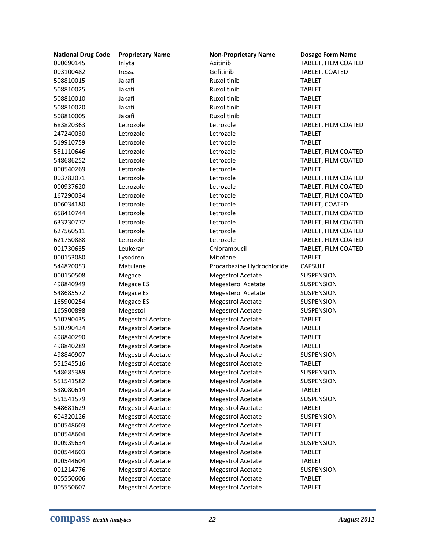| <b>National Drug Code</b> | <b>Proprietary Name</b>  | <b>Non-Proprietary Name</b> | <b>Dosage Form Name</b> |
|---------------------------|--------------------------|-----------------------------|-------------------------|
| 000690145                 | Inlyta                   | Axitinib                    | TABLET, FILM COATED     |
| 003100482                 | Iressa                   | Gefitinib                   | TABLET, COATED          |
| 508810015                 | Jakafi                   | Ruxolitinib                 | <b>TABLET</b>           |
| 508810025                 | Jakafi                   | Ruxolitinib                 | <b>TABLET</b>           |
| 508810010                 | Jakafi                   | Ruxolitinib                 | <b>TABLET</b>           |
| 508810020                 | Jakafi                   | Ruxolitinib                 | <b>TABLET</b>           |
| 508810005                 | Jakafi                   | Ruxolitinib                 | <b>TABLET</b>           |
| 683820363                 | Letrozole                | Letrozole                   | TABLET, FILM COATED     |
| 247240030                 | Letrozole                | Letrozole                   | <b>TABLET</b>           |
| 519910759                 | Letrozole                | Letrozole                   | <b>TABLET</b>           |
| 551110646                 | Letrozole                | Letrozole                   | TABLET, FILM COATED     |
| 548686252                 | Letrozole                | Letrozole                   | TABLET, FILM COATED     |
| 000540269                 | Letrozole                | Letrozole                   | <b>TABLET</b>           |
| 003782071                 | Letrozole                | Letrozole                   | TABLET, FILM COATED     |
| 000937620                 | Letrozole                | Letrozole                   | TABLET, FILM COATED     |
| 167290034                 | Letrozole                | Letrozole                   | TABLET, FILM COATED     |
| 006034180                 | Letrozole                | Letrozole                   | TABLET, COATED          |
| 658410744                 | Letrozole                | Letrozole                   | TABLET, FILM COATED     |
| 633230772                 | Letrozole                | Letrozole                   | TABLET, FILM COATED     |
| 627560511                 | Letrozole                | Letrozole                   | TABLET, FILM COATED     |
| 621750888                 | Letrozole                | Letrozole                   | TABLET, FILM COATED     |
| 001730635                 | Leukeran                 | Chlorambucil                | TABLET, FILM COATED     |
| 000153080                 | Lysodren                 | Mitotane                    | <b>TABLET</b>           |
| 544820053                 | Matulane                 | Procarbazine Hydrochloride  | <b>CAPSULE</b>          |
| 000150508                 | Megace                   | <b>Megestrol Acetate</b>    | <b>SUSPENSION</b>       |
| 498840949                 | Megace ES                | <b>Megesterol Acetate</b>   | <b>SUSPENSION</b>       |
| 548685572                 | <b>Megace Es</b>         | <b>Megesterol Acetate</b>   | SUSPENSION              |
| 165900254                 | Megace ES                | <b>Megestrol Acetate</b>    | SUSPENSION              |
| 165900898                 | Megestol                 | <b>Megestrol Acetate</b>    | <b>SUSPENSION</b>       |
| 510790435                 | Megestrol Acetate        | <b>Megestrol Acetate</b>    | <b>TABLET</b>           |
| 510790434                 | Megestrol Acetate        | <b>Megestrol Acetate</b>    | <b>TABLET</b>           |
| 498840290                 | <b>Megestrol Acetate</b> | <b>Megestrol Acetate</b>    | <b>TABLET</b>           |
| 498840289                 | <b>Megestrol Acetate</b> | <b>Megestrol Acetate</b>    | <b>TABLET</b>           |
| 498840907                 | <b>Megestrol Acetate</b> | <b>Megestrol Acetate</b>    | <b>SUSPENSION</b>       |
| 551545516                 | Megestrol Acetate        | <b>Megestrol Acetate</b>    | <b>TABLET</b>           |
| 548685389                 | Megestrol Acetate        | Megestrol Acetate           | <b>SUSPENSION</b>       |
| 551541582                 | <b>Megestrol Acetate</b> | Megestrol Acetate           | <b>SUSPENSION</b>       |
| 538080614                 | Megestrol Acetate        | <b>Megestrol Acetate</b>    | <b>TABLET</b>           |
| 551541579                 | Megestrol Acetate        | <b>Megestrol Acetate</b>    | <b>SUSPENSION</b>       |
| 548681629                 | Megestrol Acetate        | <b>Megestrol Acetate</b>    | <b>TABLET</b>           |
| 604320126                 | <b>Megestrol Acetate</b> | <b>Megestrol Acetate</b>    | SUSPENSION              |
| 000548603                 | <b>Megestrol Acetate</b> | <b>Megestrol Acetate</b>    | <b>TABLET</b>           |
| 000548604                 | Megestrol Acetate        | <b>Megestrol Acetate</b>    | <b>TABLET</b>           |
| 000939634                 | <b>Megestrol Acetate</b> | <b>Megestrol Acetate</b>    | <b>SUSPENSION</b>       |
| 000544603                 | <b>Megestrol Acetate</b> | Megestrol Acetate           | <b>TABLET</b>           |
| 000544604                 | Megestrol Acetate        | <b>Megestrol Acetate</b>    | <b>TABLET</b>           |
| 001214776                 | <b>Megestrol Acetate</b> | <b>Megestrol Acetate</b>    | <b>SUSPENSION</b>       |
| 005550606                 | <b>Megestrol Acetate</b> | <b>Megestrol Acetate</b>    | <b>TABLET</b>           |
| 005550607                 | <b>Megestrol Acetate</b> | <b>Megestrol Acetate</b>    | <b>TABLET</b>           |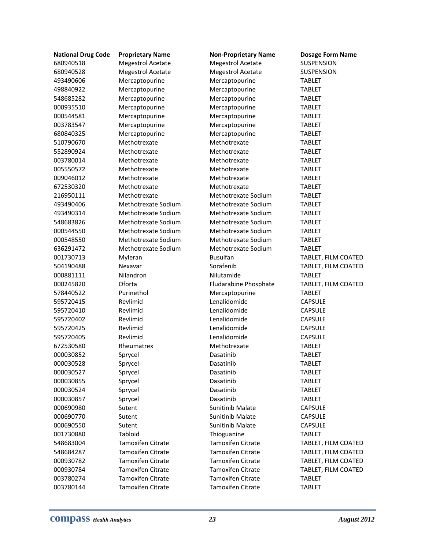| <b>National Drug Code</b> | <b>Proprietary Name</b>  | <b>Non-Proprietary Name</b> | <b>Dosage Form Name</b> |
|---------------------------|--------------------------|-----------------------------|-------------------------|
| 680940518                 | <b>Megestrol Acetate</b> | <b>Megestrol Acetate</b>    | <b>SUSPENSION</b>       |
| 680940528                 | <b>Megestrol Acetate</b> | <b>Megestrol Acetate</b>    | <b>SUSPENSION</b>       |
| 493490606                 | Mercaptopurine           | Mercaptopurine              | <b>TABLET</b>           |
| 498840922                 | Mercaptopurine           | Mercaptopurine              | <b>TABLET</b>           |
| 548685282                 | Mercaptopurine           | Mercaptopurine              | <b>TABLET</b>           |
| 000935510                 | Mercaptopurine           | Mercaptopurine              | <b>TABLET</b>           |
| 000544581                 | Mercaptopurine           | Mercaptopurine              | <b>TABLET</b>           |
| 003783547                 | Mercaptopurine           | Mercaptopurine              | <b>TABLET</b>           |
| 680840325                 | Mercaptopurine           | Mercaptopurine              | <b>TABLET</b>           |
| 510790670                 | Methotrexate             | Methotrexate                | <b>TABLET</b>           |
| 552890924                 | Methotrexate             | Methotrexate                | <b>TABLET</b>           |
| 003780014                 | Methotrexate             | Methotrexate                | <b>TABLET</b>           |
| 005550572                 | Methotrexate             | Methotrexate                | <b>TABLET</b>           |
| 009046012                 | Methotrexate             | Methotrexate                | <b>TABLET</b>           |
| 672530320                 | Methotrexate             | Methotrexate                | <b>TABLET</b>           |
| 216950111                 | Methotrexate             | Methotrexate Sodium         | <b>TABLET</b>           |
| 493490406                 | Methotrexate Sodium      | Methotrexate Sodium         | <b>TABLET</b>           |
| 493490314                 | Methotrexate Sodium      | Methotrexate Sodium         | <b>TABLET</b>           |
| 548683826                 | Methotrexate Sodium      | Methotrexate Sodium         | <b>TABLET</b>           |
| 000544550                 | Methotrexate Sodium      | Methotrexate Sodium         | <b>TABLET</b>           |
| 000548550                 | Methotrexate Sodium      | Methotrexate Sodium         | <b>TABLET</b>           |
| 636291472                 | Methotrexate Sodium      | Methotrexate Sodium         | <b>TABLET</b>           |
| 001730713                 | Myleran                  | <b>Busulfan</b>             | TABLET, FILM COATED     |
| 504190488                 | Nexavar                  | Sorafenib                   | TABLET, FILM COATED     |
| 000881111                 | Nilandron                | Nilutamide                  | <b>TABLET</b>           |
| 000245820                 | Oforta                   | Fludarabine Phosphate       | TABLET, FILM COATED     |
| 578440522                 | Purinethol               | Mercaptopurine              | <b>TABLET</b>           |
| 595720415                 | Revlimid                 | Lenalidomide                | <b>CAPSULE</b>          |
| 595720410                 | Revlimid                 | Lenalidomide                | <b>CAPSULE</b>          |
| 595720402                 | Revlimid                 | Lenalidomide                | <b>CAPSULE</b>          |
| 595720425                 | Revlimid                 | Lenalidomide                | <b>CAPSULE</b>          |
| 595720405                 | Revlimid                 | Lenalidomide                | <b>CAPSULE</b>          |
| 672530580                 | Rheumatrex               | Methotrexate                | <b>TABLET</b>           |
| 000030852                 | Sprycel                  | Dasatinib                   | <b>TABLET</b>           |
| 000030528                 | Sprycel                  | Dasatinib                   | <b>TABLET</b>           |
| 000030527                 | Sprycel                  | Dasatinib                   | <b>TABLET</b>           |
| 000030855                 | Sprycel                  | Dasatinib                   | <b>TABLET</b>           |
| 000030524                 | Sprycel                  | Dasatinib                   | <b>TABLET</b>           |
| 000030857                 | Sprycel                  | Dasatinib                   | <b>TABLET</b>           |
| 000690980                 | Sutent                   | Sunitinib Malate            | <b>CAPSULE</b>          |
| 000690770                 | Sutent                   | <b>Sunitinib Malate</b>     | <b>CAPSULE</b>          |
| 000690550                 | Sutent                   | Sunitinib Malate            | <b>CAPSULE</b>          |
| 001730880                 | Tabloid                  | Thioguanine                 | <b>TABLET</b>           |
| 548683004                 | <b>Tamoxifen Citrate</b> | <b>Tamoxifen Citrate</b>    | TABLET, FILM COATED     |
| 548684287                 | <b>Tamoxifen Citrate</b> | <b>Tamoxifen Citrate</b>    | TABLET, FILM COATED     |
| 000930782                 | <b>Tamoxifen Citrate</b> | <b>Tamoxifen Citrate</b>    | TABLET, FILM COATED     |
| 000930784                 | <b>Tamoxifen Citrate</b> | <b>Tamoxifen Citrate</b>    | TABLET, FILM COATED     |
| 003780274                 | <b>Tamoxifen Citrate</b> | <b>Tamoxifen Citrate</b>    | <b>TABLET</b>           |
| 003780144                 | <b>Tamoxifen Citrate</b> | <b>Tamoxifen Citrate</b>    | <b>TABLET</b>           |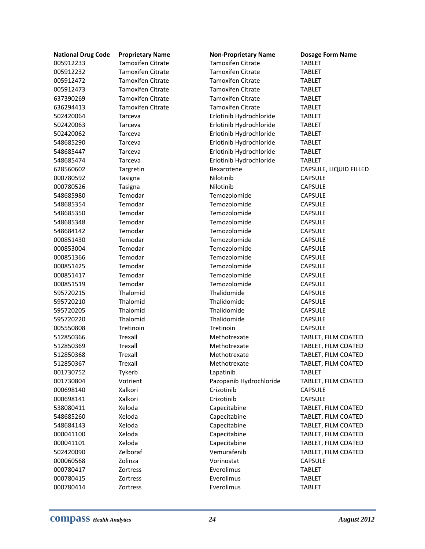| <b>Tamoxifen Citrate</b><br><b>Tamoxifen Citrate</b><br><b>TABLET</b><br><b>Tamoxifen Citrate</b><br><b>Tamoxifen Citrate</b><br><b>TABLET</b><br><b>Tamoxifen Citrate</b><br><b>Tamoxifen Citrate</b><br>005912472<br><b>TABLET</b><br><b>Tamoxifen Citrate</b><br><b>Tamoxifen Citrate</b><br>005912473<br><b>TABLET</b><br><b>Tamoxifen Citrate</b><br><b>Tamoxifen Citrate</b><br>637390269<br><b>TABLET</b><br><b>Tamoxifen Citrate</b><br><b>Tamoxifen Citrate</b><br>636294413<br><b>TABLET</b><br>502420064<br>Tarceva<br>Erlotinib Hydrochloride<br><b>TABLET</b><br>502420063<br>Erlotinib Hydrochloride<br><b>TABLET</b><br>Tarceva<br>Erlotinib Hydrochloride<br>502420062<br>Tarceva<br><b>TABLET</b><br>548685290<br>Erlotinib Hydrochloride<br>Tarceva<br><b>TABLET</b><br>548685447<br>Erlotinib Hydrochloride<br><b>TABLET</b><br>Tarceva<br>Erlotinib Hydrochloride<br>548685474<br>Tarceva<br><b>TABLET</b><br>628560602<br>Targretin<br>Bexarotene<br>CAPSULE, LIQUID FILLED<br>Nilotinib<br>000780592<br><b>CAPSULE</b><br>Tasigna<br>Nilotinib<br>000780526<br><b>CAPSULE</b><br>Tasigna<br>Temodar<br>Temozolomide<br>548685980<br><b>CAPSULE</b><br>Temodar<br>Temozolomide<br><b>CAPSULE</b><br>548685354<br>Temozolomide<br>Temodar<br><b>CAPSULE</b><br>548685350<br>Temodar<br>Temozolomide<br>548685348<br><b>CAPSULE</b><br>Temodar<br>Temozolomide<br><b>CAPSULE</b><br>548684142<br>Temodar<br>Temozolomide<br><b>CAPSULE</b><br>000851430<br>Temozolomide<br>000853004<br>Temodar<br><b>CAPSULE</b><br>Temodar<br>Temozolomide<br>000851366<br><b>CAPSULE</b><br>Temodar<br>Temozolomide<br>000851425<br><b>CAPSULE</b><br>Temodar<br>Temozolomide<br><b>CAPSULE</b><br>000851417<br>Temozolomide<br>Temodar<br><b>CAPSULE</b><br>000851519<br>Thalomid<br>Thalidomide<br>595720215<br><b>CAPSULE</b><br>Thalomid<br>Thalidomide<br>595720210<br><b>CAPSULE</b><br>595720205<br>Thalomid<br>Thalidomide<br><b>CAPSULE</b><br>Thalomid<br>Thalidomide<br>595720220<br><b>CAPSULE</b><br>005550808<br>Tretinoin<br>Tretinoin<br><b>CAPSULE</b><br>Trexall<br>512850366<br>Methotrexate<br>TABLET, FILM COATED<br>Trexall<br>512850369<br>Methotrexate<br>TABLET, FILM COATED<br>512850368<br>Trexall<br>TABLET, FILM COATED<br>Methotrexate<br>Trexall<br>Methotrexate<br>TABLET, FILM COATED<br>512850367<br>001730752<br>Tykerb<br>Lapatinib<br><b>TABLET</b><br>001730804<br>Votrient<br>Pazopanib Hydrochloride<br>TABLET, FILM COATED<br>000698140<br>Xalkori<br>Crizotinib<br><b>CAPSULE</b><br>Crizotinib<br>000698141<br>Xalkori<br><b>CAPSULE</b><br>538080411<br>Xeloda<br>Capecitabine<br>TABLET, FILM COATED<br>Xeloda<br>Capecitabine<br>548685260<br>TABLET, FILM COATED<br>Xeloda<br>Capecitabine<br>TABLET, FILM COATED<br>548684143<br>Xeloda<br>Capecitabine<br>TABLET, FILM COATED<br>000041100<br>Xeloda<br>000041101<br>Capecitabine<br>TABLET, FILM COATED<br>502420090<br>Zelboraf<br>Vemurafenib<br>TABLET, FILM COATED<br>Zolinza<br>Vorinostat<br>000060568<br><b>CAPSULE</b><br>Everolimus<br>000780417<br>Zortress<br><b>TABLET</b><br>Everolimus<br>000780415<br>Zortress<br><b>TABLET</b> | <b>National Drug Code</b> | <b>Proprietary Name</b> | <b>Non-Proprietary Name</b> | <b>Dosage Form Name</b> |
|--------------------------------------------------------------------------------------------------------------------------------------------------------------------------------------------------------------------------------------------------------------------------------------------------------------------------------------------------------------------------------------------------------------------------------------------------------------------------------------------------------------------------------------------------------------------------------------------------------------------------------------------------------------------------------------------------------------------------------------------------------------------------------------------------------------------------------------------------------------------------------------------------------------------------------------------------------------------------------------------------------------------------------------------------------------------------------------------------------------------------------------------------------------------------------------------------------------------------------------------------------------------------------------------------------------------------------------------------------------------------------------------------------------------------------------------------------------------------------------------------------------------------------------------------------------------------------------------------------------------------------------------------------------------------------------------------------------------------------------------------------------------------------------------------------------------------------------------------------------------------------------------------------------------------------------------------------------------------------------------------------------------------------------------------------------------------------------------------------------------------------------------------------------------------------------------------------------------------------------------------------------------------------------------------------------------------------------------------------------------------------------------------------------------------------------------------------------------------------------------------------------------------------------------------------------------------------------------------------------------------------------------------------------------------------------------------------------------------------------------------------------------------------------------------------------------------------------------------------------------------------------------------------------------------------------------------------------------------------------------------------------------------------------------------------------------------------------------------------------------------------------------------------|---------------------------|-------------------------|-----------------------------|-------------------------|
|                                                                                                                                                                                                                                                                                                                                                                                                                                                                                                                                                                                                                                                                                                                                                                                                                                                                                                                                                                                                                                                                                                                                                                                                                                                                                                                                                                                                                                                                                                                                                                                                                                                                                                                                                                                                                                                                                                                                                                                                                                                                                                                                                                                                                                                                                                                                                                                                                                                                                                                                                                                                                                                                                                                                                                                                                                                                                                                                                                                                                                                                                                                                                        | 005912233                 |                         |                             |                         |
|                                                                                                                                                                                                                                                                                                                                                                                                                                                                                                                                                                                                                                                                                                                                                                                                                                                                                                                                                                                                                                                                                                                                                                                                                                                                                                                                                                                                                                                                                                                                                                                                                                                                                                                                                                                                                                                                                                                                                                                                                                                                                                                                                                                                                                                                                                                                                                                                                                                                                                                                                                                                                                                                                                                                                                                                                                                                                                                                                                                                                                                                                                                                                        | 005912232                 |                         |                             |                         |
|                                                                                                                                                                                                                                                                                                                                                                                                                                                                                                                                                                                                                                                                                                                                                                                                                                                                                                                                                                                                                                                                                                                                                                                                                                                                                                                                                                                                                                                                                                                                                                                                                                                                                                                                                                                                                                                                                                                                                                                                                                                                                                                                                                                                                                                                                                                                                                                                                                                                                                                                                                                                                                                                                                                                                                                                                                                                                                                                                                                                                                                                                                                                                        |                           |                         |                             |                         |
|                                                                                                                                                                                                                                                                                                                                                                                                                                                                                                                                                                                                                                                                                                                                                                                                                                                                                                                                                                                                                                                                                                                                                                                                                                                                                                                                                                                                                                                                                                                                                                                                                                                                                                                                                                                                                                                                                                                                                                                                                                                                                                                                                                                                                                                                                                                                                                                                                                                                                                                                                                                                                                                                                                                                                                                                                                                                                                                                                                                                                                                                                                                                                        |                           |                         |                             |                         |
|                                                                                                                                                                                                                                                                                                                                                                                                                                                                                                                                                                                                                                                                                                                                                                                                                                                                                                                                                                                                                                                                                                                                                                                                                                                                                                                                                                                                                                                                                                                                                                                                                                                                                                                                                                                                                                                                                                                                                                                                                                                                                                                                                                                                                                                                                                                                                                                                                                                                                                                                                                                                                                                                                                                                                                                                                                                                                                                                                                                                                                                                                                                                                        |                           |                         |                             |                         |
|                                                                                                                                                                                                                                                                                                                                                                                                                                                                                                                                                                                                                                                                                                                                                                                                                                                                                                                                                                                                                                                                                                                                                                                                                                                                                                                                                                                                                                                                                                                                                                                                                                                                                                                                                                                                                                                                                                                                                                                                                                                                                                                                                                                                                                                                                                                                                                                                                                                                                                                                                                                                                                                                                                                                                                                                                                                                                                                                                                                                                                                                                                                                                        |                           |                         |                             |                         |
|                                                                                                                                                                                                                                                                                                                                                                                                                                                                                                                                                                                                                                                                                                                                                                                                                                                                                                                                                                                                                                                                                                                                                                                                                                                                                                                                                                                                                                                                                                                                                                                                                                                                                                                                                                                                                                                                                                                                                                                                                                                                                                                                                                                                                                                                                                                                                                                                                                                                                                                                                                                                                                                                                                                                                                                                                                                                                                                                                                                                                                                                                                                                                        |                           |                         |                             |                         |
|                                                                                                                                                                                                                                                                                                                                                                                                                                                                                                                                                                                                                                                                                                                                                                                                                                                                                                                                                                                                                                                                                                                                                                                                                                                                                                                                                                                                                                                                                                                                                                                                                                                                                                                                                                                                                                                                                                                                                                                                                                                                                                                                                                                                                                                                                                                                                                                                                                                                                                                                                                                                                                                                                                                                                                                                                                                                                                                                                                                                                                                                                                                                                        |                           |                         |                             |                         |
|                                                                                                                                                                                                                                                                                                                                                                                                                                                                                                                                                                                                                                                                                                                                                                                                                                                                                                                                                                                                                                                                                                                                                                                                                                                                                                                                                                                                                                                                                                                                                                                                                                                                                                                                                                                                                                                                                                                                                                                                                                                                                                                                                                                                                                                                                                                                                                                                                                                                                                                                                                                                                                                                                                                                                                                                                                                                                                                                                                                                                                                                                                                                                        |                           |                         |                             |                         |
|                                                                                                                                                                                                                                                                                                                                                                                                                                                                                                                                                                                                                                                                                                                                                                                                                                                                                                                                                                                                                                                                                                                                                                                                                                                                                                                                                                                                                                                                                                                                                                                                                                                                                                                                                                                                                                                                                                                                                                                                                                                                                                                                                                                                                                                                                                                                                                                                                                                                                                                                                                                                                                                                                                                                                                                                                                                                                                                                                                                                                                                                                                                                                        |                           |                         |                             |                         |
|                                                                                                                                                                                                                                                                                                                                                                                                                                                                                                                                                                                                                                                                                                                                                                                                                                                                                                                                                                                                                                                                                                                                                                                                                                                                                                                                                                                                                                                                                                                                                                                                                                                                                                                                                                                                                                                                                                                                                                                                                                                                                                                                                                                                                                                                                                                                                                                                                                                                                                                                                                                                                                                                                                                                                                                                                                                                                                                                                                                                                                                                                                                                                        |                           |                         |                             |                         |
|                                                                                                                                                                                                                                                                                                                                                                                                                                                                                                                                                                                                                                                                                                                                                                                                                                                                                                                                                                                                                                                                                                                                                                                                                                                                                                                                                                                                                                                                                                                                                                                                                                                                                                                                                                                                                                                                                                                                                                                                                                                                                                                                                                                                                                                                                                                                                                                                                                                                                                                                                                                                                                                                                                                                                                                                                                                                                                                                                                                                                                                                                                                                                        |                           |                         |                             |                         |
|                                                                                                                                                                                                                                                                                                                                                                                                                                                                                                                                                                                                                                                                                                                                                                                                                                                                                                                                                                                                                                                                                                                                                                                                                                                                                                                                                                                                                                                                                                                                                                                                                                                                                                                                                                                                                                                                                                                                                                                                                                                                                                                                                                                                                                                                                                                                                                                                                                                                                                                                                                                                                                                                                                                                                                                                                                                                                                                                                                                                                                                                                                                                                        |                           |                         |                             |                         |
|                                                                                                                                                                                                                                                                                                                                                                                                                                                                                                                                                                                                                                                                                                                                                                                                                                                                                                                                                                                                                                                                                                                                                                                                                                                                                                                                                                                                                                                                                                                                                                                                                                                                                                                                                                                                                                                                                                                                                                                                                                                                                                                                                                                                                                                                                                                                                                                                                                                                                                                                                                                                                                                                                                                                                                                                                                                                                                                                                                                                                                                                                                                                                        |                           |                         |                             |                         |
|                                                                                                                                                                                                                                                                                                                                                                                                                                                                                                                                                                                                                                                                                                                                                                                                                                                                                                                                                                                                                                                                                                                                                                                                                                                                                                                                                                                                                                                                                                                                                                                                                                                                                                                                                                                                                                                                                                                                                                                                                                                                                                                                                                                                                                                                                                                                                                                                                                                                                                                                                                                                                                                                                                                                                                                                                                                                                                                                                                                                                                                                                                                                                        |                           |                         |                             |                         |
|                                                                                                                                                                                                                                                                                                                                                                                                                                                                                                                                                                                                                                                                                                                                                                                                                                                                                                                                                                                                                                                                                                                                                                                                                                                                                                                                                                                                                                                                                                                                                                                                                                                                                                                                                                                                                                                                                                                                                                                                                                                                                                                                                                                                                                                                                                                                                                                                                                                                                                                                                                                                                                                                                                                                                                                                                                                                                                                                                                                                                                                                                                                                                        |                           |                         |                             |                         |
|                                                                                                                                                                                                                                                                                                                                                                                                                                                                                                                                                                                                                                                                                                                                                                                                                                                                                                                                                                                                                                                                                                                                                                                                                                                                                                                                                                                                                                                                                                                                                                                                                                                                                                                                                                                                                                                                                                                                                                                                                                                                                                                                                                                                                                                                                                                                                                                                                                                                                                                                                                                                                                                                                                                                                                                                                                                                                                                                                                                                                                                                                                                                                        |                           |                         |                             |                         |
|                                                                                                                                                                                                                                                                                                                                                                                                                                                                                                                                                                                                                                                                                                                                                                                                                                                                                                                                                                                                                                                                                                                                                                                                                                                                                                                                                                                                                                                                                                                                                                                                                                                                                                                                                                                                                                                                                                                                                                                                                                                                                                                                                                                                                                                                                                                                                                                                                                                                                                                                                                                                                                                                                                                                                                                                                                                                                                                                                                                                                                                                                                                                                        |                           |                         |                             |                         |
|                                                                                                                                                                                                                                                                                                                                                                                                                                                                                                                                                                                                                                                                                                                                                                                                                                                                                                                                                                                                                                                                                                                                                                                                                                                                                                                                                                                                                                                                                                                                                                                                                                                                                                                                                                                                                                                                                                                                                                                                                                                                                                                                                                                                                                                                                                                                                                                                                                                                                                                                                                                                                                                                                                                                                                                                                                                                                                                                                                                                                                                                                                                                                        |                           |                         |                             |                         |
|                                                                                                                                                                                                                                                                                                                                                                                                                                                                                                                                                                                                                                                                                                                                                                                                                                                                                                                                                                                                                                                                                                                                                                                                                                                                                                                                                                                                                                                                                                                                                                                                                                                                                                                                                                                                                                                                                                                                                                                                                                                                                                                                                                                                                                                                                                                                                                                                                                                                                                                                                                                                                                                                                                                                                                                                                                                                                                                                                                                                                                                                                                                                                        |                           |                         |                             |                         |
|                                                                                                                                                                                                                                                                                                                                                                                                                                                                                                                                                                                                                                                                                                                                                                                                                                                                                                                                                                                                                                                                                                                                                                                                                                                                                                                                                                                                                                                                                                                                                                                                                                                                                                                                                                                                                                                                                                                                                                                                                                                                                                                                                                                                                                                                                                                                                                                                                                                                                                                                                                                                                                                                                                                                                                                                                                                                                                                                                                                                                                                                                                                                                        |                           |                         |                             |                         |
|                                                                                                                                                                                                                                                                                                                                                                                                                                                                                                                                                                                                                                                                                                                                                                                                                                                                                                                                                                                                                                                                                                                                                                                                                                                                                                                                                                                                                                                                                                                                                                                                                                                                                                                                                                                                                                                                                                                                                                                                                                                                                                                                                                                                                                                                                                                                                                                                                                                                                                                                                                                                                                                                                                                                                                                                                                                                                                                                                                                                                                                                                                                                                        |                           |                         |                             |                         |
|                                                                                                                                                                                                                                                                                                                                                                                                                                                                                                                                                                                                                                                                                                                                                                                                                                                                                                                                                                                                                                                                                                                                                                                                                                                                                                                                                                                                                                                                                                                                                                                                                                                                                                                                                                                                                                                                                                                                                                                                                                                                                                                                                                                                                                                                                                                                                                                                                                                                                                                                                                                                                                                                                                                                                                                                                                                                                                                                                                                                                                                                                                                                                        |                           |                         |                             |                         |
|                                                                                                                                                                                                                                                                                                                                                                                                                                                                                                                                                                                                                                                                                                                                                                                                                                                                                                                                                                                                                                                                                                                                                                                                                                                                                                                                                                                                                                                                                                                                                                                                                                                                                                                                                                                                                                                                                                                                                                                                                                                                                                                                                                                                                                                                                                                                                                                                                                                                                                                                                                                                                                                                                                                                                                                                                                                                                                                                                                                                                                                                                                                                                        |                           |                         |                             |                         |
|                                                                                                                                                                                                                                                                                                                                                                                                                                                                                                                                                                                                                                                                                                                                                                                                                                                                                                                                                                                                                                                                                                                                                                                                                                                                                                                                                                                                                                                                                                                                                                                                                                                                                                                                                                                                                                                                                                                                                                                                                                                                                                                                                                                                                                                                                                                                                                                                                                                                                                                                                                                                                                                                                                                                                                                                                                                                                                                                                                                                                                                                                                                                                        |                           |                         |                             |                         |
|                                                                                                                                                                                                                                                                                                                                                                                                                                                                                                                                                                                                                                                                                                                                                                                                                                                                                                                                                                                                                                                                                                                                                                                                                                                                                                                                                                                                                                                                                                                                                                                                                                                                                                                                                                                                                                                                                                                                                                                                                                                                                                                                                                                                                                                                                                                                                                                                                                                                                                                                                                                                                                                                                                                                                                                                                                                                                                                                                                                                                                                                                                                                                        |                           |                         |                             |                         |
|                                                                                                                                                                                                                                                                                                                                                                                                                                                                                                                                                                                                                                                                                                                                                                                                                                                                                                                                                                                                                                                                                                                                                                                                                                                                                                                                                                                                                                                                                                                                                                                                                                                                                                                                                                                                                                                                                                                                                                                                                                                                                                                                                                                                                                                                                                                                                                                                                                                                                                                                                                                                                                                                                                                                                                                                                                                                                                                                                                                                                                                                                                                                                        |                           |                         |                             |                         |
|                                                                                                                                                                                                                                                                                                                                                                                                                                                                                                                                                                                                                                                                                                                                                                                                                                                                                                                                                                                                                                                                                                                                                                                                                                                                                                                                                                                                                                                                                                                                                                                                                                                                                                                                                                                                                                                                                                                                                                                                                                                                                                                                                                                                                                                                                                                                                                                                                                                                                                                                                                                                                                                                                                                                                                                                                                                                                                                                                                                                                                                                                                                                                        |                           |                         |                             |                         |
|                                                                                                                                                                                                                                                                                                                                                                                                                                                                                                                                                                                                                                                                                                                                                                                                                                                                                                                                                                                                                                                                                                                                                                                                                                                                                                                                                                                                                                                                                                                                                                                                                                                                                                                                                                                                                                                                                                                                                                                                                                                                                                                                                                                                                                                                                                                                                                                                                                                                                                                                                                                                                                                                                                                                                                                                                                                                                                                                                                                                                                                                                                                                                        |                           |                         |                             |                         |
|                                                                                                                                                                                                                                                                                                                                                                                                                                                                                                                                                                                                                                                                                                                                                                                                                                                                                                                                                                                                                                                                                                                                                                                                                                                                                                                                                                                                                                                                                                                                                                                                                                                                                                                                                                                                                                                                                                                                                                                                                                                                                                                                                                                                                                                                                                                                                                                                                                                                                                                                                                                                                                                                                                                                                                                                                                                                                                                                                                                                                                                                                                                                                        |                           |                         |                             |                         |
|                                                                                                                                                                                                                                                                                                                                                                                                                                                                                                                                                                                                                                                                                                                                                                                                                                                                                                                                                                                                                                                                                                                                                                                                                                                                                                                                                                                                                                                                                                                                                                                                                                                                                                                                                                                                                                                                                                                                                                                                                                                                                                                                                                                                                                                                                                                                                                                                                                                                                                                                                                                                                                                                                                                                                                                                                                                                                                                                                                                                                                                                                                                                                        |                           |                         |                             |                         |
|                                                                                                                                                                                                                                                                                                                                                                                                                                                                                                                                                                                                                                                                                                                                                                                                                                                                                                                                                                                                                                                                                                                                                                                                                                                                                                                                                                                                                                                                                                                                                                                                                                                                                                                                                                                                                                                                                                                                                                                                                                                                                                                                                                                                                                                                                                                                                                                                                                                                                                                                                                                                                                                                                                                                                                                                                                                                                                                                                                                                                                                                                                                                                        |                           |                         |                             |                         |
|                                                                                                                                                                                                                                                                                                                                                                                                                                                                                                                                                                                                                                                                                                                                                                                                                                                                                                                                                                                                                                                                                                                                                                                                                                                                                                                                                                                                                                                                                                                                                                                                                                                                                                                                                                                                                                                                                                                                                                                                                                                                                                                                                                                                                                                                                                                                                                                                                                                                                                                                                                                                                                                                                                                                                                                                                                                                                                                                                                                                                                                                                                                                                        |                           |                         |                             |                         |
|                                                                                                                                                                                                                                                                                                                                                                                                                                                                                                                                                                                                                                                                                                                                                                                                                                                                                                                                                                                                                                                                                                                                                                                                                                                                                                                                                                                                                                                                                                                                                                                                                                                                                                                                                                                                                                                                                                                                                                                                                                                                                                                                                                                                                                                                                                                                                                                                                                                                                                                                                                                                                                                                                                                                                                                                                                                                                                                                                                                                                                                                                                                                                        |                           |                         |                             |                         |
|                                                                                                                                                                                                                                                                                                                                                                                                                                                                                                                                                                                                                                                                                                                                                                                                                                                                                                                                                                                                                                                                                                                                                                                                                                                                                                                                                                                                                                                                                                                                                                                                                                                                                                                                                                                                                                                                                                                                                                                                                                                                                                                                                                                                                                                                                                                                                                                                                                                                                                                                                                                                                                                                                                                                                                                                                                                                                                                                                                                                                                                                                                                                                        |                           |                         |                             |                         |
|                                                                                                                                                                                                                                                                                                                                                                                                                                                                                                                                                                                                                                                                                                                                                                                                                                                                                                                                                                                                                                                                                                                                                                                                                                                                                                                                                                                                                                                                                                                                                                                                                                                                                                                                                                                                                                                                                                                                                                                                                                                                                                                                                                                                                                                                                                                                                                                                                                                                                                                                                                                                                                                                                                                                                                                                                                                                                                                                                                                                                                                                                                                                                        |                           |                         |                             |                         |
|                                                                                                                                                                                                                                                                                                                                                                                                                                                                                                                                                                                                                                                                                                                                                                                                                                                                                                                                                                                                                                                                                                                                                                                                                                                                                                                                                                                                                                                                                                                                                                                                                                                                                                                                                                                                                                                                                                                                                                                                                                                                                                                                                                                                                                                                                                                                                                                                                                                                                                                                                                                                                                                                                                                                                                                                                                                                                                                                                                                                                                                                                                                                                        |                           |                         |                             |                         |
|                                                                                                                                                                                                                                                                                                                                                                                                                                                                                                                                                                                                                                                                                                                                                                                                                                                                                                                                                                                                                                                                                                                                                                                                                                                                                                                                                                                                                                                                                                                                                                                                                                                                                                                                                                                                                                                                                                                                                                                                                                                                                                                                                                                                                                                                                                                                                                                                                                                                                                                                                                                                                                                                                                                                                                                                                                                                                                                                                                                                                                                                                                                                                        |                           |                         |                             |                         |
|                                                                                                                                                                                                                                                                                                                                                                                                                                                                                                                                                                                                                                                                                                                                                                                                                                                                                                                                                                                                                                                                                                                                                                                                                                                                                                                                                                                                                                                                                                                                                                                                                                                                                                                                                                                                                                                                                                                                                                                                                                                                                                                                                                                                                                                                                                                                                                                                                                                                                                                                                                                                                                                                                                                                                                                                                                                                                                                                                                                                                                                                                                                                                        |                           |                         |                             |                         |
|                                                                                                                                                                                                                                                                                                                                                                                                                                                                                                                                                                                                                                                                                                                                                                                                                                                                                                                                                                                                                                                                                                                                                                                                                                                                                                                                                                                                                                                                                                                                                                                                                                                                                                                                                                                                                                                                                                                                                                                                                                                                                                                                                                                                                                                                                                                                                                                                                                                                                                                                                                                                                                                                                                                                                                                                                                                                                                                                                                                                                                                                                                                                                        |                           |                         |                             |                         |
|                                                                                                                                                                                                                                                                                                                                                                                                                                                                                                                                                                                                                                                                                                                                                                                                                                                                                                                                                                                                                                                                                                                                                                                                                                                                                                                                                                                                                                                                                                                                                                                                                                                                                                                                                                                                                                                                                                                                                                                                                                                                                                                                                                                                                                                                                                                                                                                                                                                                                                                                                                                                                                                                                                                                                                                                                                                                                                                                                                                                                                                                                                                                                        |                           |                         |                             |                         |
|                                                                                                                                                                                                                                                                                                                                                                                                                                                                                                                                                                                                                                                                                                                                                                                                                                                                                                                                                                                                                                                                                                                                                                                                                                                                                                                                                                                                                                                                                                                                                                                                                                                                                                                                                                                                                                                                                                                                                                                                                                                                                                                                                                                                                                                                                                                                                                                                                                                                                                                                                                                                                                                                                                                                                                                                                                                                                                                                                                                                                                                                                                                                                        |                           |                         |                             |                         |
|                                                                                                                                                                                                                                                                                                                                                                                                                                                                                                                                                                                                                                                                                                                                                                                                                                                                                                                                                                                                                                                                                                                                                                                                                                                                                                                                                                                                                                                                                                                                                                                                                                                                                                                                                                                                                                                                                                                                                                                                                                                                                                                                                                                                                                                                                                                                                                                                                                                                                                                                                                                                                                                                                                                                                                                                                                                                                                                                                                                                                                                                                                                                                        |                           |                         |                             |                         |
|                                                                                                                                                                                                                                                                                                                                                                                                                                                                                                                                                                                                                                                                                                                                                                                                                                                                                                                                                                                                                                                                                                                                                                                                                                                                                                                                                                                                                                                                                                                                                                                                                                                                                                                                                                                                                                                                                                                                                                                                                                                                                                                                                                                                                                                                                                                                                                                                                                                                                                                                                                                                                                                                                                                                                                                                                                                                                                                                                                                                                                                                                                                                                        |                           |                         |                             |                         |
|                                                                                                                                                                                                                                                                                                                                                                                                                                                                                                                                                                                                                                                                                                                                                                                                                                                                                                                                                                                                                                                                                                                                                                                                                                                                                                                                                                                                                                                                                                                                                                                                                                                                                                                                                                                                                                                                                                                                                                                                                                                                                                                                                                                                                                                                                                                                                                                                                                                                                                                                                                                                                                                                                                                                                                                                                                                                                                                                                                                                                                                                                                                                                        |                           |                         |                             |                         |
|                                                                                                                                                                                                                                                                                                                                                                                                                                                                                                                                                                                                                                                                                                                                                                                                                                                                                                                                                                                                                                                                                                                                                                                                                                                                                                                                                                                                                                                                                                                                                                                                                                                                                                                                                                                                                                                                                                                                                                                                                                                                                                                                                                                                                                                                                                                                                                                                                                                                                                                                                                                                                                                                                                                                                                                                                                                                                                                                                                                                                                                                                                                                                        |                           |                         |                             |                         |
|                                                                                                                                                                                                                                                                                                                                                                                                                                                                                                                                                                                                                                                                                                                                                                                                                                                                                                                                                                                                                                                                                                                                                                                                                                                                                                                                                                                                                                                                                                                                                                                                                                                                                                                                                                                                                                                                                                                                                                                                                                                                                                                                                                                                                                                                                                                                                                                                                                                                                                                                                                                                                                                                                                                                                                                                                                                                                                                                                                                                                                                                                                                                                        |                           |                         |                             |                         |
|                                                                                                                                                                                                                                                                                                                                                                                                                                                                                                                                                                                                                                                                                                                                                                                                                                                                                                                                                                                                                                                                                                                                                                                                                                                                                                                                                                                                                                                                                                                                                                                                                                                                                                                                                                                                                                                                                                                                                                                                                                                                                                                                                                                                                                                                                                                                                                                                                                                                                                                                                                                                                                                                                                                                                                                                                                                                                                                                                                                                                                                                                                                                                        |                           |                         |                             |                         |
|                                                                                                                                                                                                                                                                                                                                                                                                                                                                                                                                                                                                                                                                                                                                                                                                                                                                                                                                                                                                                                                                                                                                                                                                                                                                                                                                                                                                                                                                                                                                                                                                                                                                                                                                                                                                                                                                                                                                                                                                                                                                                                                                                                                                                                                                                                                                                                                                                                                                                                                                                                                                                                                                                                                                                                                                                                                                                                                                                                                                                                                                                                                                                        | 000780414                 | Zortress                | Everolimus                  | <b>TABLET</b>           |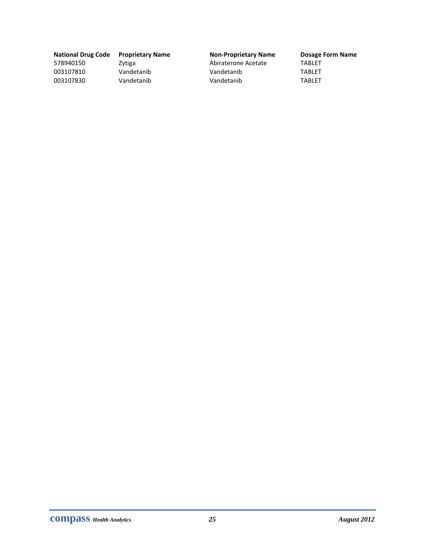| <b>National Drug Co</b> |
|-------------------------|
| 578940150               |
| 003107810               |
| 003107830               |

#### **National Drug Code Proprietary Name Non‐Proprietary Name Dosage Form Name**

Zytiga **Exercise State Abiraterone Acetate** TABLET Vandetanib Vandetanib Vandetanib TABLET 003107830 Vandetanib Vandetanib TABLET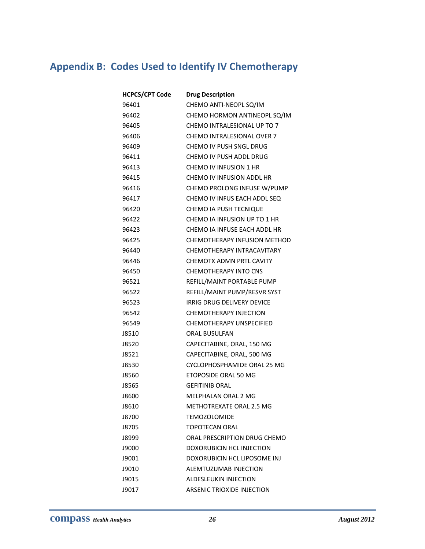# **Appendix B: Codes Used to Identify IV Chemotherapy**

| <b>HCPCS/CPT Code</b> | <b>Drug Description</b>         |
|-----------------------|---------------------------------|
| 96401                 | CHEMO ANTI-NEOPL SQ/IM          |
| 96402                 | CHEMO HORMON ANTINEOPL SQ/IM    |
| 96405                 | CHEMO INTRALESIONAL UP TO 7     |
| 96406                 | CHEMO INTRALESIONAL OVER 7      |
| 96409                 | CHEMO IV PUSH SNGL DRUG         |
| 96411                 | CHEMO IV PUSH ADDL DRUG         |
| 96413                 | CHEMO IV INFUSION 1 HR          |
| 96415                 | CHEMO IV INFUSION ADDL HR       |
| 96416                 | CHEMO PROLONG INFUSE W/PUMP     |
| 96417                 | CHEMO IV INFUS EACH ADDL SEQ    |
| 96420                 | <b>CHEMO IA PUSH TECNIQUE</b>   |
| 96422                 | CHEMO IA INFUSION UP TO 1 HR    |
| 96423                 | CHEMO IA INFUSE EACH ADDL HR    |
| 96425                 | CHEMOTHERAPY INFUSION METHOD    |
| 96440                 | CHEMOTHERAPY INTRACAVITARY      |
| 96446                 | CHEMOTX ADMN PRTL CAVITY        |
| 96450                 | <b>CHEMOTHERAPY INTO CNS</b>    |
| 96521                 | REFILL/MAINT PORTABLE PUMP      |
| 96522                 | REFILL/MAINT PUMP/RESVR SYST    |
| 96523                 | IRRIG DRUG DELIVERY DEVICE      |
| 96542                 | <b>CHEMOTHERAPY INJECTION</b>   |
| 96549                 | <b>CHEMOTHERAPY UNSPECIFIED</b> |
| J8510                 | <b>ORAL BUSULFAN</b>            |
| J8520                 | CAPECITABINE, ORAL, 150 MG      |
| J8521                 | CAPECITABINE, ORAL, 500 MG      |
| J8530                 | CYCLOPHOSPHAMIDE ORAL 25 MG     |
| J8560                 | ETOPOSIDE ORAL 50 MG            |
| J8565                 | <b>GEFITINIB ORAL</b>           |
| J8600                 | MELPHALAN ORAL 2 MG             |
| J8610                 | METHOTREXATE ORAL 2.5 MG        |
| J8700                 | <b>TEMOZOLOMIDE</b>             |
| J8705                 | <b>TOPOTECAN ORAL</b>           |
| J8999                 | ORAL PRESCRIPTION DRUG CHEMO    |
| J9000                 | DOXORUBICIN HCL INJECTION       |
| J9001                 | DOXORUBICIN HCL LIPOSOME INJ    |
| J9010                 | ALEMTUZUMAB INJECTION           |
| J9015                 | ALDESLEUKIN INJECTION           |
| J9017                 | ARSENIC TRIOXIDE INJECTION      |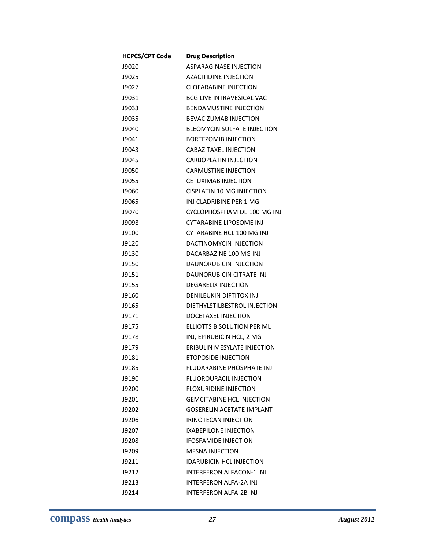| <b>HCPCS/CPT Code</b> | <b>Drug Description</b>            |
|-----------------------|------------------------------------|
| J9020                 | ASPARAGINASE INJECTION             |
| J9025                 | <b>AZACITIDINE INJECTION</b>       |
| J9027                 | <b>CLOFARABINE INJECTION</b>       |
| J9031                 | <b>BCG LIVE INTRAVESICAL VAC</b>   |
| J9033                 | <b>BENDAMUSTINE INJECTION</b>      |
| J9035                 | <b>BEVACIZUMAB INJECTION</b>       |
| J9040                 | <b>BLEOMYCIN SULFATE INJECTION</b> |
| J9041                 | <b>BORTEZOMIB INJECTION</b>        |
| J9043                 | CABAZITAXEL INJECTION              |
| J9045                 | <b>CARBOPLATIN INJECTION</b>       |
| J9050                 | <b>CARMUSTINE INJECTION</b>        |
| J9055                 | <b>CETUXIMAB INJECTION</b>         |
| J9060                 | <b>CISPLATIN 10 MG INJECTION</b>   |
| J9065                 | INJ CLADRIBINE PER 1 MG            |
| J9070                 | CYCLOPHOSPHAMIDE 100 MG INJ        |
| J9098                 | CYTARABINE LIPOSOME INJ            |
| J9100                 | CYTARABINE HCL 100 MG INJ          |
| J9120                 | DACTINOMYCIN INJECTION             |
| J9130                 | DACARBAZINE 100 MG INJ             |
| J9150                 | DAUNORUBICIN INJECTION             |
| J9151                 | DAUNORUBICIN CITRATE INJ           |
| J9155                 | <b>DEGARELIX INJECTION</b>         |
| J9160                 | <b>DENILEUKIN DIFTITOX INJ</b>     |
| J9165                 | DIETHYLSTILBESTROL INJECTION       |
| J9171                 | DOCETAXEL INJECTION                |
| J9175                 | ELLIOTTS B SOLUTION PER ML         |
| J9178                 | INJ, EPIRUBICIN HCL, 2 MG          |
| J9179                 | ERIBULIN MESYLATE INJECTION        |
| J9181                 | ETOPOSIDE INJECTION                |
| J9185                 | FLUDARABINE PHOSPHATE INJ          |
| J9190                 | <b>FLUOROURACIL INJECTION</b>      |
| J9200                 | <b>FLOXURIDINE INJECTION</b>       |
| J9201                 | <b>GEMCITABINE HCL INJECTION</b>   |
| J9202                 | <b>GOSERELIN ACETATE IMPLANT</b>   |
| J9206                 | IRINOTECAN INJECTION               |
| J9207                 | IXABEPILONE INJECTION              |
| J9208                 | <b>IFOSFAMIDE INJECTION</b>        |
| J9209                 | <b>MESNA INJECTION</b>             |
| J9211                 | <b>IDARUBICIN HCL INJECTION</b>    |
| J9212                 | INTERFERON ALFACON-1 INJ           |
| J9213                 | INTERFERON ALFA-2A INJ             |
| J9214                 | INTERFERON ALFA-2B INJ             |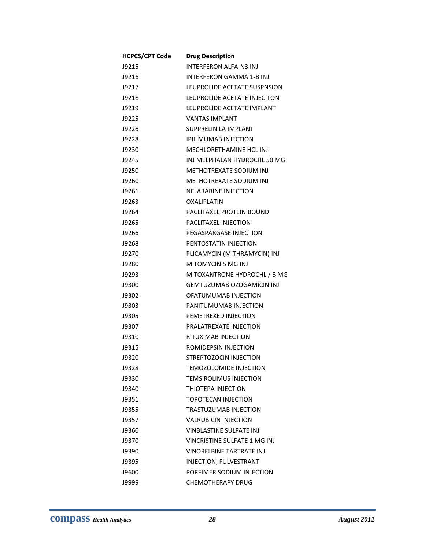| <b>HCPCS/CPT Code</b> | <b>Drug Description</b>             |
|-----------------------|-------------------------------------|
| J9215                 | INTERFERON ALFA-N3 INJ              |
| J9216                 | <b>INTERFERON GAMMA 1-B INJ</b>     |
| 19217                 | LEUPROLIDE ACETATE SUSPNSION        |
| J9218                 | LEUPROLIDE ACETATE INJECITON        |
| J9219                 | LEUPROLIDE ACETATE IMPLANT          |
| J9225                 | <b>VANTAS IMPLANT</b>               |
| <b>J9226</b>          | SUPPRELIN LA IMPLANT                |
| J9228                 | <b>IPILIMUMAB INJECTION</b>         |
| <b>J9230</b>          | MECHLORETHAMINE HCL INJ             |
| J9245                 | INJ MELPHALAN HYDROCHL 50 MG        |
| J9250                 | METHOTREXATE SODIUM INJ             |
| J9260                 | METHOTREXATE SODIUM INJ             |
| J9261                 | <b>NELARABINE INJECTION</b>         |
| J9263                 | OXALIPLATIN                         |
| J9264                 | PACLITAXEL PROTEIN BOUND            |
| J9265                 | PACLITAXEL INJECTION                |
| J9266                 | PEGASPARGASE INJECTION              |
| J9268                 | PENTOSTATIN INJECTION               |
| <b>J9270</b>          | PLICAMYCIN (MITHRAMYCIN) INJ        |
| J9280                 | <b>MITOMYCIN 5 MG INJ</b>           |
| J9293                 | MITOXANTRONE HYDROCHL / 5 MG        |
| J9300                 | <b>GEMTUZUMAB OZOGAMICIN INJ</b>    |
| J9302                 | OFATUMUMAB INJECTION                |
| J9303                 | PANITUMUMAB INJECTION               |
| J9305                 | PEMETREXED INJECTION                |
| J9307                 | PRALATREXATE INJECTION              |
| J9310                 | RITUXIMAB INJECTION                 |
| J9315                 | ROMIDEPSIN INJECTION                |
| J9320                 | <b>STREPTOZOCIN INJECTION</b>       |
| J9328                 | <b>TEMOZOLOMIDE INJECTION</b>       |
| J9330                 | <b>TEMSIROLIMUS INJECTION</b>       |
| J9340                 | THIOTFPA INJFCTION                  |
| J9351                 | TOPOTECAN INJECTION                 |
| J9355                 | TRASTUZUMAB INJECTION               |
| J9357                 | <b>VALRUBICIN INJECTION</b>         |
| J9360                 | <b>VINBLASTINE SULFATE INJ</b>      |
| 19370                 | <b>VINCRISTINE SULFATE 1 MG INJ</b> |
| J9390                 | <b>VINORELBINE TARTRATE INJ</b>     |
| J9395                 | INJECTION, FULVESTRANT              |
| J9600                 | PORFIMER SODIUM INJECTION           |
| J9999                 | <b>CHEMOTHERAPY DRUG</b>            |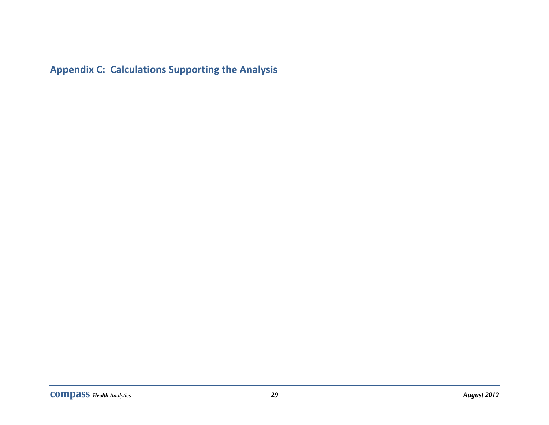**Appendix C: Calculations Supporting the Analysis**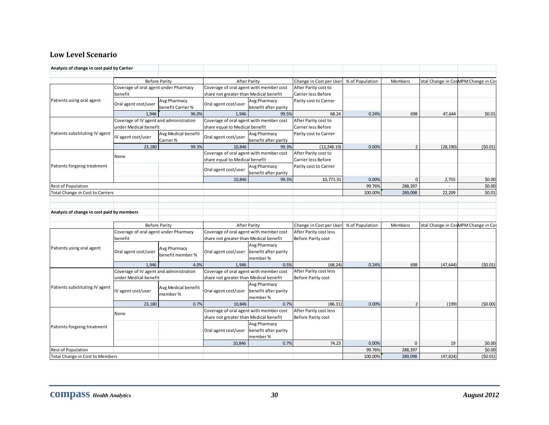#### **Low Level Scenario**

| Analysis of change in cost paid by Carrier                    |                                                                  |                                   |                                                                                   |                                                                                                   |                                                 |                   |                    |           |                                     |
|---------------------------------------------------------------|------------------------------------------------------------------|-----------------------------------|-----------------------------------------------------------------------------------|---------------------------------------------------------------------------------------------------|-------------------------------------------------|-------------------|--------------------|-----------|-------------------------------------|
|                                                               |                                                                  |                                   |                                                                                   |                                                                                                   |                                                 |                   |                    |           |                                     |
|                                                               |                                                                  | <b>Before Parity</b>              |                                                                                   | <b>After Parity</b>                                                                               | Change in Cost per User<br>After Parity cost to | % of Population   | Members            |           | otal Change in CosMPM Change in Cos |
| Patients using oral agent                                     | Coverage of oral agent under Pharmacy<br>benefit                 |                                   |                                                                                   | Coverage of oral agent with member cost<br>share not greater than Medical benefit                 |                                                 |                   |                    |           |                                     |
|                                                               | Oral agent cost/user                                             | Avg Pharmacy<br>benefit Carrier % | Oral agent cost/user                                                              | Avg Pharmacy<br>benefit after parity                                                              | Carrier less Before<br>Parity cost to Carrier   |                   |                    |           |                                     |
|                                                               | 1,946                                                            | 96.0%                             | 1,946                                                                             | 99.5%                                                                                             | 68.24                                           | 0.24%             | 698                | 47,644    | \$0.01                              |
|                                                               | Coverage of IV agent and administration                          |                                   |                                                                                   | Coverage of oral agent with member cost<br>After Parity cost to<br>share equal to Medical benefit |                                                 |                   |                    |           |                                     |
| Patients substituting IV agent                                | under Medical benefit<br>IV agent cost/user                      | Avg Medical benefit<br>Carrier %  | Oral agent cost/user                                                              | Avg Pharmacy<br>benefit after parity                                                              | Carrier less Before<br>Parity cost to Carrier   |                   |                    |           |                                     |
|                                                               | 23,180                                                           | 99.3%                             | 10.846                                                                            | 99.3%                                                                                             | (12, 248.19)                                    | 0.00%             | $\overline{2}$     | (28, 190) | (50.01)                             |
|                                                               | None                                                             |                                   | Coverage of oral agent with member cost<br>share equal to Medical benefit         |                                                                                                   | After Parity cost to<br>Carrier less Before     |                   |                    |           |                                     |
| Patients forgoing treatment                                   |                                                                  |                                   | Oral agent cost/user                                                              | Avg Pharmacy<br>benefit after parity                                                              | Parity cost to Carrier                          |                   |                    |           |                                     |
|                                                               |                                                                  |                                   | 10,846                                                                            | 99.3%                                                                                             | 10,771.31                                       | 0.00%             | $\overline{0}$     | 2,755     | \$0.00                              |
| <b>Rest of Population</b><br>Total Change in Cost to Carriers |                                                                  |                                   |                                                                                   |                                                                                                   |                                                 | 99.76%<br>100.00% | 288,397<br>289,098 | 22,209    | \$0.00<br>\$0.01                    |
|                                                               |                                                                  |                                   |                                                                                   |                                                                                                   |                                                 |                   |                    |           |                                     |
| Analysis of change in cost paid by members                    |                                                                  |                                   |                                                                                   |                                                                                                   |                                                 |                   |                    |           |                                     |
|                                                               |                                                                  | <b>Before Parity</b>              |                                                                                   | <b>After Parity</b>                                                                               | Change in Cost per User                         | % of Population   | Members            |           | otal Change in CosMPM Change in Cos |
|                                                               | Coverage of oral agent under Pharmacy<br>benefit                 |                                   | Coverage of oral agent with member cost<br>share not greater than Medical benefit |                                                                                                   | After Parity cost less<br>Before Parity cost    |                   |                    |           |                                     |
| Patients using oral agent                                     | Oral agent cost/user                                             | Avg Pharmacy<br>benefit member %  | Oral agent cost/user                                                              | Avg Pharmacy<br>benefit after parity<br>member %                                                  |                                                 |                   |                    |           |                                     |
|                                                               | 1.946                                                            | 4.0%                              | 1.946                                                                             | 0.5%                                                                                              | (68.24)                                         | 0.24%             | 698                | (47, 644) | (50.01)                             |
|                                                               | Coverage of IV agent and administration<br>under Medical benefit |                                   | Coverage of oral agent with member cost<br>share not greater than Medical benefit |                                                                                                   | After Parity cost less<br>Before Parity cost    |                   |                    |           |                                     |
| Patients substituting IV agent                                | IV agent cost/user                                               | Avg Medical benefit<br>member %   | Oral agent cost/user                                                              | Avg Pharmacy<br>benefit after parity<br>member %                                                  |                                                 |                   |                    |           |                                     |
|                                                               | 23,180                                                           | 0.7%                              | 10.846                                                                            | 0.7%                                                                                              | (86.31)                                         | 0.00%             | $\overline{2}$     | (199)     | (50.00)                             |
|                                                               | None                                                             |                                   | Coverage of oral agent with member cost<br>share not greater than Medical benefit |                                                                                                   | After Parity cost less<br>Before Parity cost    |                   |                    |           |                                     |
| Patients forgoing treatment                                   |                                                                  |                                   | Oral agent cost/user                                                              | Avg Pharmacy<br>benefit after parity<br>member %                                                  |                                                 |                   |                    |           |                                     |
|                                                               |                                                                  |                                   | 10,846                                                                            | 0.7%                                                                                              | 74.23                                           | 0.00%             | $\Omega$           | 19        | \$0.00                              |
| <b>Rest of Population</b><br>Total Change in Cost to Members  |                                                                  |                                   |                                                                                   |                                                                                                   |                                                 | 99.76%<br>100.00% | 288,397<br>289,098 | (47, 824) | \$0.00<br>(50.01)                   |
|                                                               |                                                                  |                                   |                                                                                   |                                                                                                   |                                                 |                   |                    |           |                                     |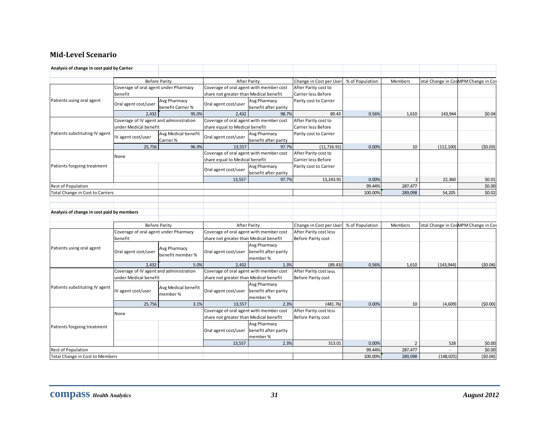#### **MidLevel Scenario**

| Analysis of change in cost paid by Carrier |                                         |                                   |                                                                                   |                                                        |                                                 |                 |                |            |                                     |
|--------------------------------------------|-----------------------------------------|-----------------------------------|-----------------------------------------------------------------------------------|--------------------------------------------------------|-------------------------------------------------|-----------------|----------------|------------|-------------------------------------|
|                                            |                                         |                                   |                                                                                   |                                                        |                                                 |                 |                |            |                                     |
|                                            |                                         | <b>Before Parity</b>              |                                                                                   | <b>After Parity</b>                                    | Change in Cost per User<br>After Parity cost to | % of Population | Members        |            | otal Change in CosMPM Change in Cos |
|                                            | Coverage of oral agent under Pharmacy   |                                   |                                                                                   | Coverage of oral agent with member cost                |                                                 |                 |                |            |                                     |
|                                            | benefit                                 |                                   | share not greater than Medical benefit                                            |                                                        | Carrier less Before                             |                 |                |            |                                     |
| Patients using oral agent                  | Oral agent cost/user                    | Avg Pharmacy<br>benefit Carrier % | Oral agent cost/user                                                              | Avg Pharmacy<br>benefit after parity                   | Parity cost to Carrier                          |                 |                |            |                                     |
|                                            | 2,432                                   | 95.0%                             | 2,432                                                                             | 98.7%                                                  | 89.43                                           | 0.56%           | 1,610          | 143,944    | \$0.04                              |
|                                            | Coverage of IV agent and administration |                                   | Coverage of oral agent with member cost                                           |                                                        | After Parity cost to                            |                 |                |            |                                     |
|                                            | under Medical benefit                   |                                   | share equal to Medical benefit                                                    |                                                        | Carrier less Before                             |                 |                |            |                                     |
| Patients substituting IV agent             | IV agent cost/user                      | Avg Medical benefit<br>Carrier %  | Oral agent cost/user                                                              | Avg Pharmacy<br>benefit after parity                   | Parity cost to Carrier                          |                 |                |            |                                     |
|                                            | 25,756                                  | 96.9%                             | 13.557                                                                            | 97.7%                                                  | (11, 716.91)                                    | 0.00%           | 10             | (112, 100) | (50.03)                             |
|                                            | None                                    |                                   | Coverage of oral agent with member cost<br>share equal to Medical benefit         |                                                        | After Parity cost to<br>Carrier less Before     |                 |                |            |                                     |
| Patients forgoing treatment                |                                         |                                   | Oral agent cost/user                                                              | Avg Pharmacy<br>benefit after parity                   | Parity cost to Carrier                          |                 |                |            |                                     |
|                                            |                                         |                                   | 13,557                                                                            | 97.7%                                                  | 13,243.91                                       | 0.00%           | $\overline{2}$ | 22,360     | \$0.01                              |
| Rest of Population                         |                                         |                                   |                                                                                   |                                                        |                                                 | 99.44%          | 287,477        |            | \$0.00                              |
| Total Change in Cost to Carriers           |                                         |                                   |                                                                                   |                                                        |                                                 | 100.00%         | 289,098        | 54,205     | \$0.02                              |
|                                            |                                         |                                   |                                                                                   |                                                        |                                                 |                 |                |            |                                     |
| Analysis of change in cost paid by members |                                         | <b>Before Parity</b>              |                                                                                   | <b>After Parity</b>                                    | Change in Cost per User                         | % of Population | Members        |            | otal Change in CosMPM Change in Cos |
|                                            | Coverage of oral agent under Pharmacy   |                                   | Coverage of oral agent with member cost                                           |                                                        | After Parity cost less                          |                 |                |            |                                     |
|                                            | benefit                                 |                                   | share not greater than Medical benefit                                            |                                                        | Before Parity cost                              |                 |                |            |                                     |
| Patients using oral agent                  | Oral agent cost/user                    | Avg Pharmacy<br>benefit member %  | Oral agent cost/user                                                              | <b>Avg Pharmacy</b><br>benefit after parity<br>member% |                                                 |                 |                |            |                                     |
|                                            | 2.432                                   | 5.0%                              | 2.432                                                                             | 1.3%                                                   | (89.43)                                         | 0.56%           | 1,610          | (143, 944) | (50.04)                             |
|                                            | Coverage of IV agent and administration |                                   | Coverage of oral agent with member cost                                           |                                                        | After Parity cost less                          |                 |                |            |                                     |
|                                            | under Medical benefit                   |                                   | share not greater than Medical benefit                                            |                                                        | Before Parity cost                              |                 |                |            |                                     |
| Patients substituting IV agent             | IV agent cost/user                      | Avg Medical benefit<br>member %   | Oral agent cost/user                                                              | <b>Avg Pharmacy</b><br>benefit after parity<br>member% |                                                 |                 |                |            |                                     |
|                                            | 25,756                                  | 3.1%                              | 13,557                                                                            | 2.3%                                                   | (481.76)                                        | 0.00%           | 10             | (4,609)    | (50.00)                             |
|                                            | None                                    |                                   | Coverage of oral agent with member cost<br>share not greater than Medical benefit |                                                        | After Parity cost less<br>Before Parity cost    |                 |                |            |                                     |
| Patients forgoing treatment                |                                         |                                   | Oral agent cost/user                                                              | <b>Avg Pharmacy</b><br>benefit after parity<br>member% |                                                 |                 |                |            |                                     |
|                                            |                                         |                                   | 13,557                                                                            | 2.3%                                                   | 313.01                                          | 0.00%           | $\overline{2}$ | 528        | \$0.00                              |
| Rest of Population                         |                                         |                                   |                                                                                   |                                                        |                                                 | 99.44%          | 287,477        |            | \$0.00                              |
| Total Change in Cost to Members            |                                         |                                   |                                                                                   |                                                        |                                                 | 100.00%         | 289,098        | (148, 025) | (50.04)                             |